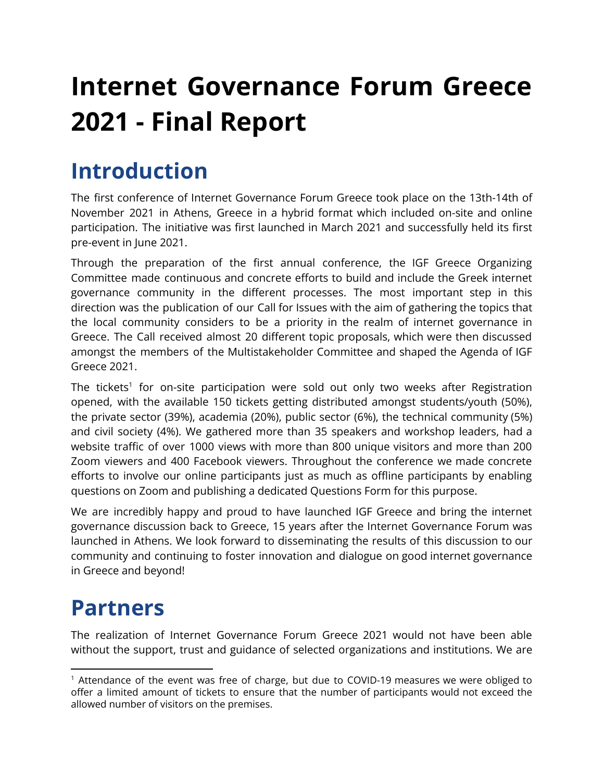# **Internet Governance Forum Greece 2021 - Final Report**

# **Introduction**

The first conference of Internet Governance Forum Greece took place on the 13th-14th of November 2021 in Athens, Greece in a hybrid format which included on-site and online participation. The initiative was first launched in March 2021 and successfully held its first pre-event in June 2021.

Through the preparation of the first annual conference, the IGF Greece Organizing Committee made continuous and concrete efforts to build and include the Greek internet governance community in the different processes. The most important step in this direction was the publication of our Call for Issues with the aim of gathering the topics that the local community considers to be a priority in the realm of internet governance in Greece. The Call received almost 20 different topic proposals, which were then discussed amongst the members of the Multistakeholder Committee and shaped the Agenda of IGF Greece 2021.

The tickets<sup>1</sup> for on-site participation were sold out only two weeks after Registration opened, with the available 150 tickets getting distributed amongst students/youth (50%), the private sector (39%), academia (20%), public sector (6%), the technical community (5%) and civil society (4%). We gathered more than 35 speakers and workshop leaders, had a website traffic of over 1000 views with more than 800 unique visitors and more than 200 Zoom viewers and 400 Facebook viewers. Throughout the conference we made concrete efforts to involve our online participants just as much as offline participants by enabling questions on Zoom and publishing a dedicated Questions Form for this purpose.

We are incredibly happy and proud to have launched IGF Greece and bring the internet governance discussion back to Greece, 15 years after the Internet Governance Forum was launched in Athens. We look forward to disseminating the results of this discussion to our community and continuing to foster innovation and dialogue on good internet governance in Greece and beyond!

# **Partners**

The realization of Internet Governance Forum Greece 2021 would not have been able without the support, trust and guidance of selected organizations and institutions. We are

 $<sup>1</sup>$  Attendance of the event was free of charge, but due to COVID-19 measures we were obliged to</sup> offer a limited amount of tickets to ensure that the number of participants would not exceed the allowed number of visitors on the premises.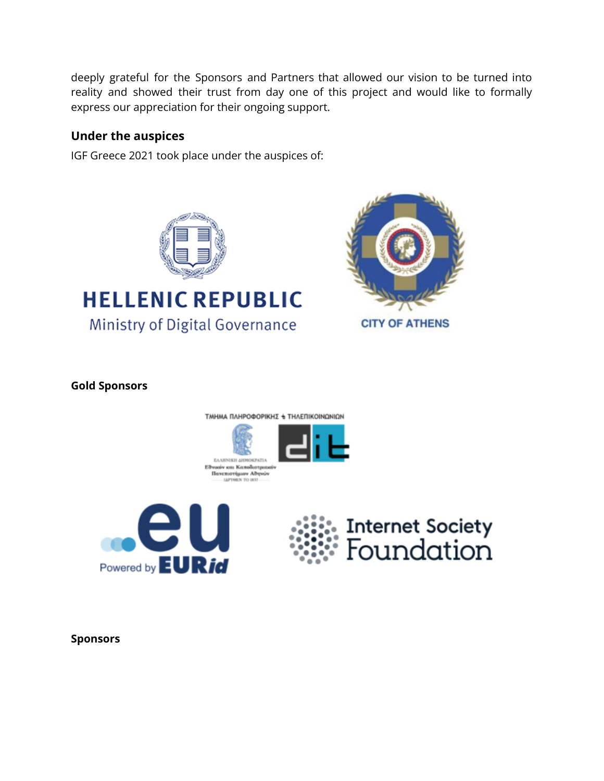deeply grateful for the Sponsors and Partners that allowed our vision to be turned into reality and showed their trust from day one of this project and would like to formally express our appreciation for their ongoing support.

#### **Under the auspices**

IGF Greece 2021 took place under the auspices of:



# **HELLENIC REPUBLIC** Ministry of Digital Governance



**Gold Sponsors**









**Sponsors**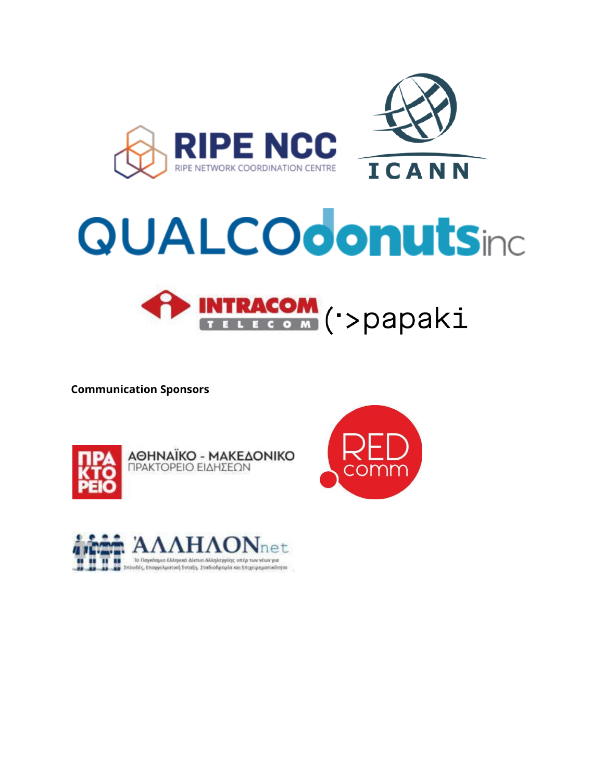

# **QUALCOdonutsing**



**Communication Sponsors**



**AOHNAÏKO - MAKEAONIKO**<br>**ΠΡΑΚΤΟΡΕΙΟ ΕΙΔΗΣΕΩΝ** 



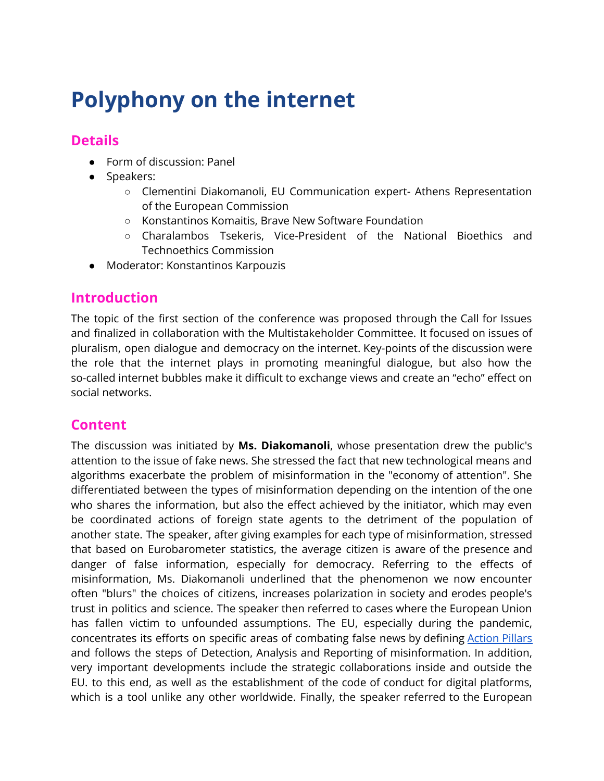# **Polyphony on the internet**

#### **Details**

- Form of discussion: Panel
- Speakers:
	- Clementini Diakomanoli, EU Communication expert- Athens Representation of the European Commission
	- Konstantinos Komaitis, Brave New Software Foundation
	- Charalambos Tsekeris, Vice-President of the National Bioethics and Technoethics Commission
- Moderator: Konstantinos Karpouzis

#### **Introduction**

The topic of the first section of the conference was proposed through the Call for Issues and finalized in collaboration with the Multistakeholder Committee. It focused on issues of pluralism, open dialogue and democracy on the internet. Key-points of the discussion were the role that the internet plays in promoting meaningful dialogue, but also how the so-called internet bubbles make it difficult to exchange views and create an "echo" effect on social networks.

## **Content**

The discussion was initiated by **Ms. Diakomanoli**, whose presentation drew the public's attention to the issue of fake news. She stressed the fact that new technological means and algorithms exacerbate the problem of misinformation in the "economy of attention". She differentiated between the types of misinformation depending on the intention of the one who shares the information, but also the effect achieved by the initiator, which may even be coordinated actions of foreign state agents to the detriment of the population of another state. The speaker, after giving examples for each type of misinformation, stressed that based on Eurobarometer statistics, the average citizen is aware of the presence and danger of false information, especially for democracy. Referring to the effects of misinformation, Ms. Diakomanoli underlined that the phenomenon we now encounter often "blurs" the choices of citizens, increases polarization in society and erodes people's trust in politics and science. The speaker then referred to cases where the European Union has fallen victim to unfounded assumptions. The EU, especially during the pandemic, concentrates its efforts on specific areas of combating false news by defining [Action](https://www.eca.europa.eu/lists/ecadocuments/ap20_04/ap_disinformation_en.pdf) Pillars and follows the steps of Detection, Analysis and Reporting of misinformation. In addition, very important developments include the strategic collaborations inside and outside the EU. to this end, as well as the establishment of the code of conduct for digital platforms, which is a tool unlike any other worldwide. Finally, the speaker referred to the European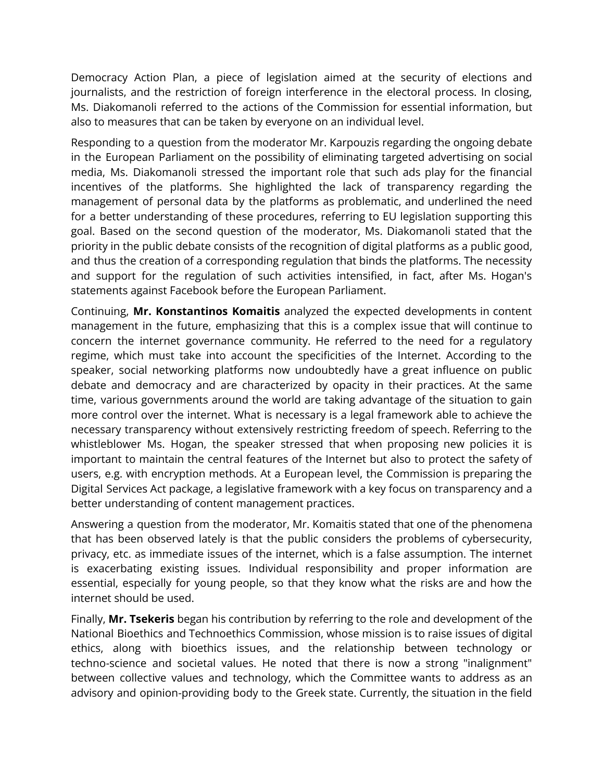Democracy Action Plan, a piece of legislation aimed at the security of elections and journalists, and the restriction of foreign interference in the electoral process. In closing, Ms. Diakomanoli referred to the actions of the Commission for essential information, but also to measures that can be taken by everyone on an individual level.

Responding to a question from the moderator Mr. Karpouzis regarding the ongoing debate in the European Parliament on the possibility of eliminating targeted advertising on social media, Ms. Diakomanoli stressed the important role that such ads play for the financial incentives of the platforms. She highlighted the lack of transparency regarding the management of personal data by the platforms as problematic, and underlined the need for a better understanding of these procedures, referring to EU legislation supporting this goal. Based on the second question of the moderator, Ms. Diakomanoli stated that the priority in the public debate consists of the recognition of digital platforms as a public good, and thus the creation of a corresponding regulation that binds the platforms. The necessity and support for the regulation of such activities intensified, in fact, after Ms. Hogan's statements against Facebook before the European Parliament.

Continuing, **Mr. Konstantinos Komaitis** analyzed the expected developments in content management in the future, emphasizing that this is a complex issue that will continue to concern the internet governance community. He referred to the need for a regulatory regime, which must take into account the specificities of the Internet. According to the speaker, social networking platforms now undoubtedly have a great influence on public debate and democracy and are characterized by opacity in their practices. At the same time, various governments around the world are taking advantage of the situation to gain more control over the internet. What is necessary is a legal framework able to achieve the necessary transparency without extensively restricting freedom of speech. Referring to the whistleblower Ms. Hogan, the speaker stressed that when proposing new policies it is important to maintain the central features of the Internet but also to protect the safety of users, e.g. with encryption methods. At a European level, the Commission is preparing the Digital Services Act package, a legislative framework with a key focus on transparency and a better understanding of content management practices.

Answering a question from the moderator, Mr. Komaitis stated that one of the phenomena that has been observed lately is that the public considers the problems of cybersecurity, privacy, etc. as immediate issues of the internet, which is a false assumption. The internet is exacerbating existing issues. Individual responsibility and proper information are essential, especially for young people, so that they know what the risks are and how the internet should be used.

Finally, **Mr. Tsekeris** began his contribution by referring to the role and development of the National Bioethics and Technoethics Commission, whose mission is to raise issues of digital ethics, along with bioethics issues, and the relationship between technology or techno-science and societal values. He noted that there is now a strong "inalignment" between collective values and technology, which the Committee wants to address as an advisory and opinion-providing body to the Greek state. Currently, the situation in the field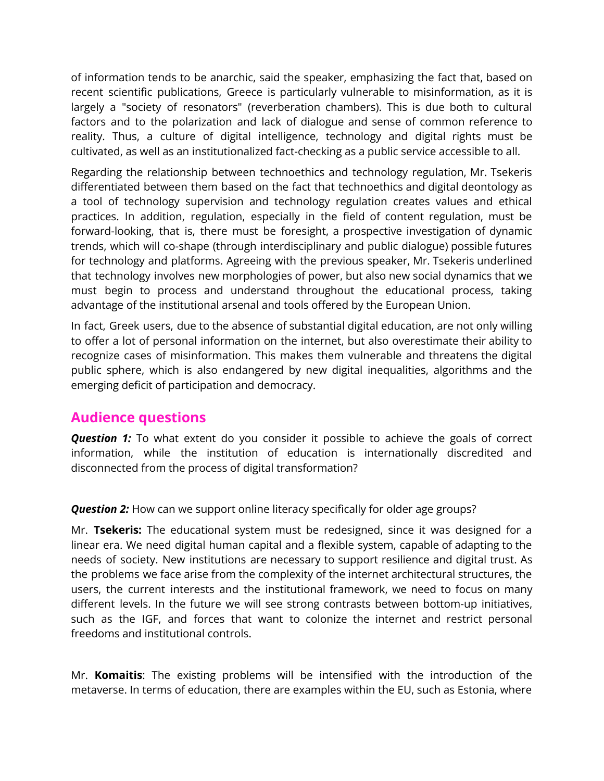of information tends to be anarchic, said the speaker, emphasizing the fact that, based on recent scientific publications, Greece is particularly vulnerable to misinformation, as it is largely a "society of resonators" (reverberation chambers). This is due both to cultural factors and to the polarization and lack of dialogue and sense of common reference to reality. Thus, a culture of digital intelligence, technology and digital rights must be cultivated, as well as an institutionalized fact-checking as a public service accessible to all.

Regarding the relationship between technoethics and technology regulation, Mr. Tsekeris differentiated between them based on the fact that technoethics and digital deontology as a tool of technology supervision and technology regulation creates values and ethical practices. In addition, regulation, especially in the field of content regulation, must be forward-looking, that is, there must be foresight, a prospective investigation of dynamic trends, which will co-shape (through interdisciplinary and public dialogue) possible futures for technology and platforms. Agreeing with the previous speaker, Mr. Tsekeris underlined that technology involves new morphologies of power, but also new social dynamics that we must begin to process and understand throughout the educational process, taking advantage of the institutional arsenal and tools offered by the European Union.

In fact, Greek users, due to the absence of substantial digital education, are not only willing to offer a lot of personal information on the internet, but also overestimate their ability to recognize cases of misinformation. This makes them vulnerable and threatens the digital public sphere, which is also endangered by new digital inequalities, algorithms and the emerging deficit of participation and democracy.

#### **Audience questions**

**Question 1:** To what extent do you consider it possible to achieve the goals of correct information, while the institution of education is internationally discredited and disconnected from the process of digital transformation?

**Question 2:** How can we support online literacy specifically for older age groups?

Mr. **Tsekeris:** The educational system must be redesigned, since it was designed for a linear era. We need digital human capital and a flexible system, capable of adapting to the needs of society. New institutions are necessary to support resilience and digital trust. As the problems we face arise from the complexity of the internet architectural structures, the users, the current interests and the institutional framework, we need to focus on many different levels. In the future we will see strong contrasts between bottom-up initiatives, such as the IGF, and forces that want to colonize the internet and restrict personal freedoms and institutional controls.

Mr. **Komaitis**: The existing problems will be intensified with the introduction of the metaverse. In terms of education, there are examples within the EU, such as Estonia, where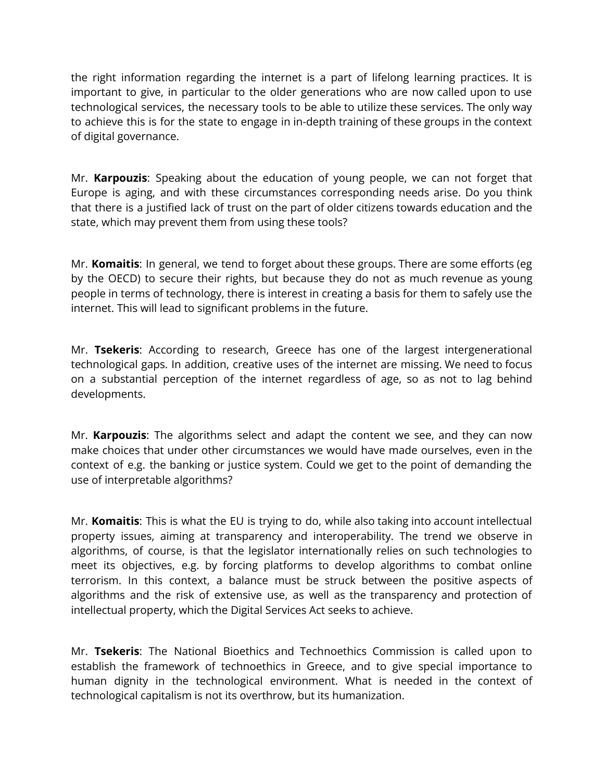the right information regarding the internet is a part of lifelong learning practices. It is important to give, in particular to the older generations who are now called upon to use technological services, the necessary tools to be able to utilize these services. The only way to achieve this is for the state to engage in in-depth training of these groups in the context of digital governance.

Mr. **Karpouzis**: Speaking about the education of young people, we can not forget that Europe is aging, and with these circumstances corresponding needs arise. Do you think that there is a justified lack of trust on the part of older citizens towards education and the state, which may prevent them from using these tools?

Mr. **Komaitis**: In general, we tend to forget about these groups. There are some efforts (eg by the OECD) to secure their rights, but because they do not as much revenue as young people in terms of technology, there is interest in creating a basis for them to safely use the internet. This will lead to significant problems in the future.

Mr. **Tsekeris**: According to research, Greece has one of the largest intergenerational technological gaps. In addition, creative uses of the internet are missing. We need to focus on a substantial perception of the internet regardless of age, so as not to lag behind developments.

Mr. **Karpouzis**: The algorithms select and adapt the content we see, and they can now make choices that under other circumstances we would have made ourselves, even in the context of e.g. the banking or justice system. Could we get to the point of demanding the use of interpretable algorithms?

Mr. **Komaitis**: This is what the EU is trying to do, while also taking into account intellectual property issues, aiming at transparency and interoperability. The trend we observe in algorithms, of course, is that the legislator internationally relies on such technologies to meet its objectives, e.g. by forcing platforms to develop algorithms to combat online terrorism. In this context, a balance must be struck between the positive aspects of algorithms and the risk of extensive use, as well as the transparency and protection of intellectual property, which the Digital Services Act seeks to achieve.

Mr. **Tsekeris**: The National Bioethics and Technoethics Commission is called upon to establish the framework of technoethics in Greece, and to give special importance to human dignity in the technological environment. What is needed in the context of technological capitalism is not its overthrow, but its humanization.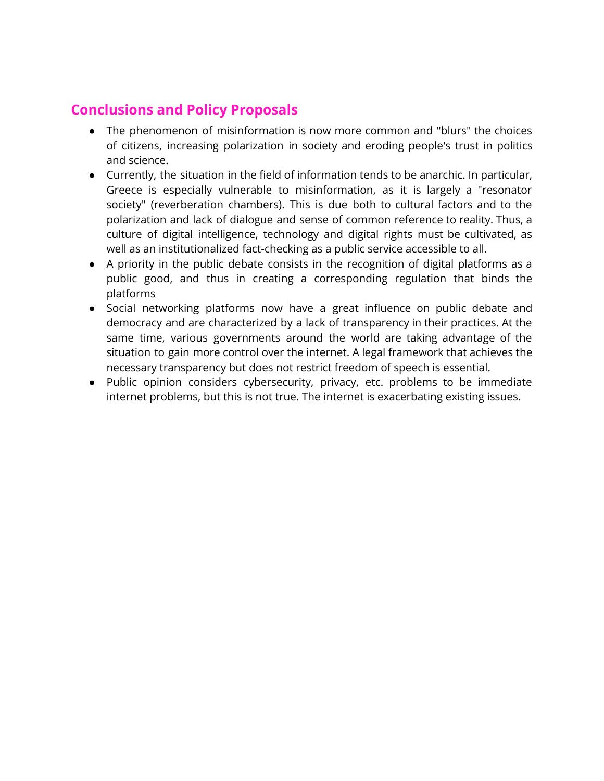# **Conclusions and Policy Proposals**

- The phenomenon of misinformation is now more common and "blurs" the choices of citizens, increasing polarization in society and eroding people's trust in politics and science.
- Currently, the situation in the field of information tends to be anarchic. In particular, Greece is especially vulnerable to misinformation, as it is largely a "resonator society" (reverberation chambers). This is due both to cultural factors and to the polarization and lack of dialogue and sense of common reference to reality. Thus, a culture of digital intelligence, technology and digital rights must be cultivated, as well as an institutionalized fact-checking as a public service accessible to all.
- A priority in the public debate consists in the recognition of digital platforms as a public good, and thus in creating a corresponding regulation that binds the platforms
- Social networking platforms now have a great influence on public debate and democracy and are characterized by a lack of transparency in their practices. At the same time, various governments around the world are taking advantage of the situation to gain more control over the internet. A legal framework that achieves the necessary transparency but does not restrict freedom of speech is essential.
- Public opinion considers cybersecurity, privacy, etc. problems to be immediate internet problems, but this is not true. The internet is exacerbating existing issues.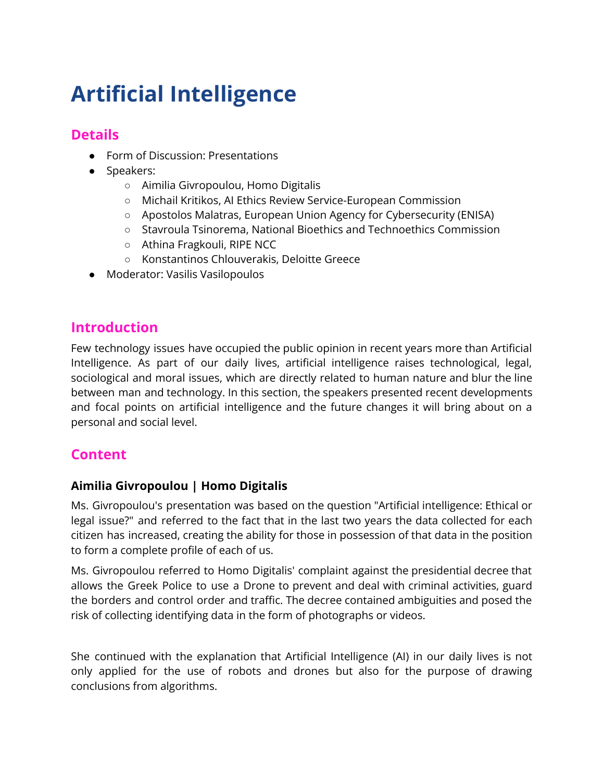# **Artificial Intelligence**

# **Details**

- Form of Discussion: Presentations
- Speakers:
	- Aimilia Givropoulou, Homo Digitalis
	- Michail Kritikos, AI Ethics Review Service-European Commission
	- Apostolos Malatras, European Union Agency for Cybersecurity (ENISA)
	- Stavroula Tsinorema, National Bioethics and Technoethics Commission
	- Athina Fragkouli, RIPE NCC
	- Konstantinos Chlouverakis, Deloitte Greece
- Moderator: Vasilis Vasilopoulos

#### **Introduction**

Few technology issues have occupied the public opinion in recent years more than Artificial Intelligence. As part of our daily lives, artificial intelligence raises technological, legal, sociological and moral issues, which are directly related to human nature and blur the line between man and technology. In this section, the speakers presented recent developments and focal points on artificial intelligence and the future changes it will bring about on a personal and social level.

## **Content**

#### **Aimilia Givropoulou | Homo Digitalis**

Ms. Givropoulou's presentation was based on the question "Artificial intelligence: Ethical or legal issue?" and referred to the fact that in the last two years the data collected for each citizen has increased, creating the ability for those in possession of that data in the position to form a complete profile of each of us.

Ms. Givropoulou referred to Homo Digitalis' complaint against the presidential decree that allows the Greek Police to use a Drone to prevent and deal with criminal activities, guard the borders and control order and traffic. The decree contained ambiguities and posed the risk of collecting identifying data in the form of photographs or videos.

She continued with the explanation that Artificial Intelligence (AI) in our daily lives is not only applied for the use of robots and drones but also for the purpose of drawing conclusions from algorithms.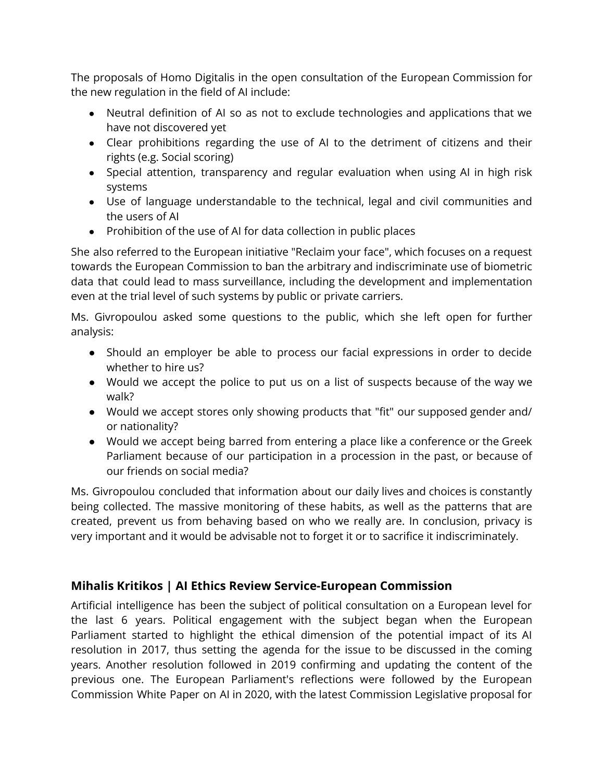The proposals of Homo Digitalis in the open consultation of the European Commission for the new regulation in the field of AI include:

- Neutral definition of AI so as not to exclude technologies and applications that we have not discovered yet
- Clear prohibitions regarding the use of AI to the detriment of citizens and their rights (e.g. Social scoring)
- Special attention, transparency and regular evaluation when using AI in high risk systems
- Use of language understandable to the technical, legal and civil communities and the users of AI
- Prohibition of the use of AI for data collection in public places

She also referred to the European initiative "Reclaim your face", which focuses on a request towards the European Commission to ban the arbitrary and indiscriminate use of biometric data that could lead to mass surveillance, including the development and implementation even at the trial level of such systems by public or private carriers.

Ms. Givropoulou asked some questions to the public, which she left open for further analysis:

- Should an employer be able to process our facial expressions in order to decide whether to hire us?
- Would we accept the police to put us on a list of suspects because of the way we walk?
- Would we accept stores only showing products that "fit" our supposed gender and/ or nationality?
- Would we accept being barred from entering a place like a conference or the Greek Parliament because of our participation in a procession in the past, or because of our friends on social media?

Ms. Givropoulou concluded that information about our daily lives and choices is constantly being collected. The massive monitoring of these habits, as well as the patterns that are created, prevent us from behaving based on who we really are. In conclusion, privacy is very important and it would be advisable not to forget it or to sacrifice it indiscriminately.

#### **Mihalis Kritikos | AI Ethics Review Service-European Commission**

Artificial intelligence has been the subject of political consultation on a European level for the last 6 years. Political engagement with the subject began when the European Parliament started to highlight the ethical dimension of the potential impact of its AI resolution in 2017, thus setting the agenda for the issue to be discussed in the coming years. Another resolution followed in 2019 confirming and updating the content of the previous one. The European Parliament's reflections were followed by the European Commission White Paper on AI in 2020, with the latest Commission Legislative proposal for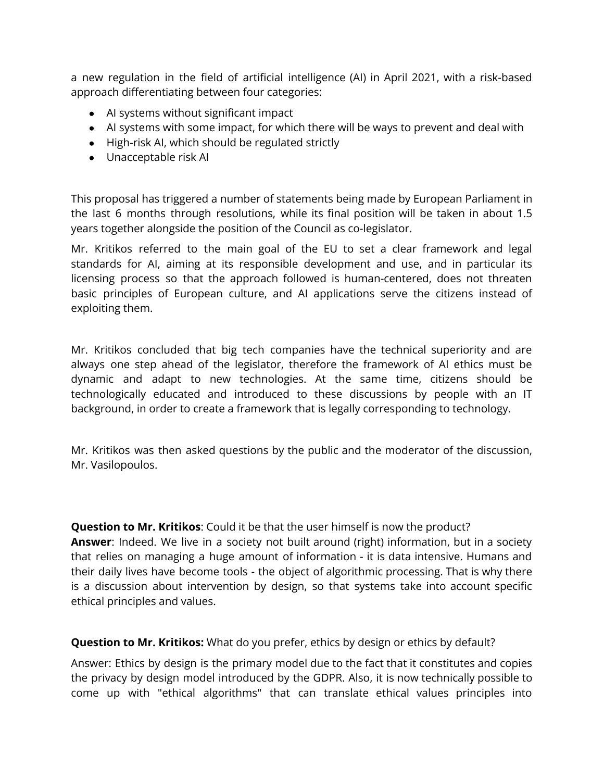a new regulation in the field of artificial intelligence (AI) in April 2021, with a risk-based approach differentiating between four categories:

- AI systems without significant impact
- AI systems with some impact, for which there will be ways to prevent and deal with
- High-risk AI, which should be regulated strictly
- Unacceptable risk AI

This proposal has triggered a number of statements being made by European Parliament in the last 6 months through resolutions, while its final position will be taken in about 1.5 years together alongside the position of the Council as co-legislator.

Mr. Kritikos referred to the main goal of the EU to set a clear framework and legal standards for AI, aiming at its responsible development and use, and in particular its licensing process so that the approach followed is human-centered, does not threaten basic principles of European culture, and AI applications serve the citizens instead of exploiting them.

Mr. Kritikos concluded that big tech companies have the technical superiority and are always one step ahead of the legislator, therefore the framework of AI ethics must be dynamic and adapt to new technologies. At the same time, citizens should be technologically educated and introduced to these discussions by people with an IT background, in order to create a framework that is legally corresponding to technology.

Mr. Kritikos was then asked questions by the public and the moderator of the discussion, Mr. Vasilopoulos.

**Question to Mr. Kritikos**: Could it be that the user himself is now the product? **Answer**: Indeed. We live in a society not built around (right) information, but in a society that relies on managing a huge amount of information - it is data intensive. Humans and their daily lives have become tools - the object of algorithmic processing. That is why there is a discussion about intervention by design, so that systems take into account specific ethical principles and values.

**Question to Mr. Kritikos:** What do you prefer, ethics by design or ethics by default?

Answer: Ethics by design is the primary model due to the fact that it constitutes and copies the privacy by design model introduced by the GDPR. Also, it is now technically possible to come up with "ethical algorithms" that can translate ethical values principles into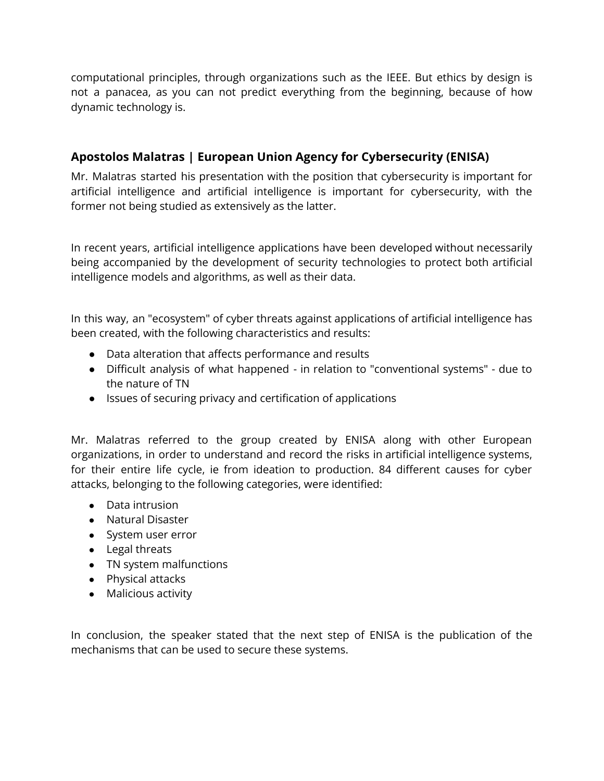computational principles, through organizations such as the IEEE. But ethics by design is not a panacea, as you can not predict everything from the beginning, because of how dynamic technology is.

#### **Apostolos Malatras | European Union Agency for Cybersecurity (ENISA)**

Mr. Malatras started his presentation with the position that cybersecurity is important for artificial intelligence and artificial intelligence is important for cybersecurity, with the former not being studied as extensively as the latter.

In recent years, artificial intelligence applications have been developed without necessarily being accompanied by the development of security technologies to protect both artificial intelligence models and algorithms, as well as their data.

In this way, an "ecosystem" of cyber threats against applications of artificial intelligence has been created, with the following characteristics and results:

- Data alteration that affects performance and results
- Difficult analysis of what happened in relation to "conventional systems" due to the nature of TN
- Issues of securing privacy and certification of applications

Mr. Malatras referred to the group created by ENISA along with other European organizations, in order to understand and record the risks in artificial intelligence systems, for their entire life cycle, ie from ideation to production. 84 different causes for cyber attacks, belonging to the following categories, were identified:

- Data intrusion
- Natural Disaster
- System user error
- Legal threats
- TN system malfunctions
- Physical attacks
- Malicious activity

In conclusion, the speaker stated that the next step of ENISA is the publication of the mechanisms that can be used to secure these systems.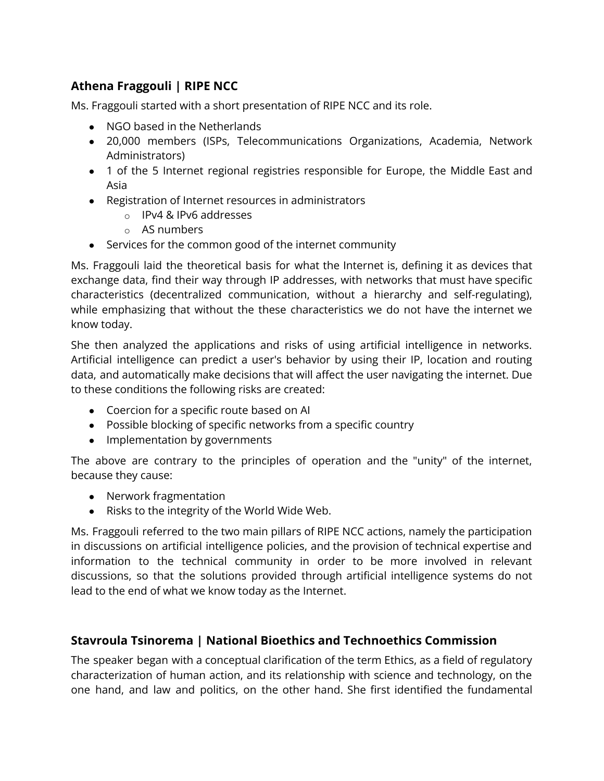#### **Athena Fraggouli | RIPE NCC**

Ms. Fraggouli started with a short presentation of RIPE NCC and its role.

- NGO based in the Netherlands
- 20,000 members (ISPs, Telecommunications Organizations, Academia, Network Administrators)
- 1 of the 5 Internet regional registries responsible for Europe, the Middle East and Asia
- Registration of Internet resources in administrators
	- o IPv4 & IPv6 addresses
	- o AS numbers
- Services for the common good of the internet community

Ms. Fraggouli laid the theoretical basis for what the Internet is, defining it as devices that exchange data, find their way through IP addresses, with networks that must have specific characteristics (decentralized communication, without a hierarchy and self-regulating), while emphasizing that without the these characteristics we do not have the internet we know today.

She then analyzed the applications and risks of using artificial intelligence in networks. Artificial intelligence can predict a user's behavior by using their IP, location and routing data, and automatically make decisions that will affect the user navigating the internet. Due to these conditions the following risks are created:

- Coercion for a specific route based on AI
- Possible blocking of specific networks from a specific country
- Implementation by governments

The above are contrary to the principles of operation and the "unity" of the internet, because they cause:

- Nerwork fragmentation
- Risks to the integrity of the World Wide Web.

Ms. Fraggouli referred to the two main pillars of RIPE NCC actions, namely the participation in discussions on artificial intelligence policies, and the provision of technical expertise and information to the technical community in order to be more involved in relevant discussions, so that the solutions provided through artificial intelligence systems do not lead to the end of what we know today as the Internet.

#### **Stavroula Tsinorema | National Bioethics and Technoethics Commission**

The speaker began with a conceptual clarification of the term Ethics, as a field of regulatory characterization of human action, and its relationship with science and technology, on the one hand, and law and politics, on the other hand. She first identified the fundamental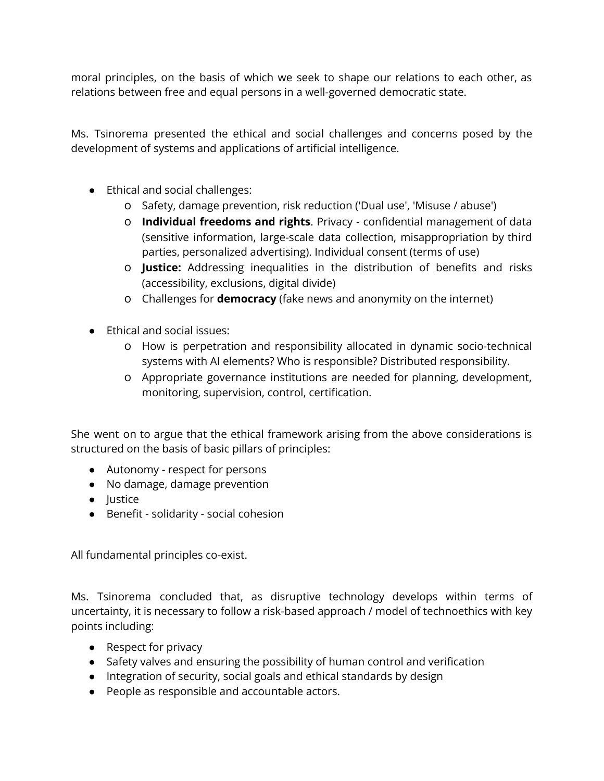moral principles, on the basis of which we seek to shape our relations to each other, as relations between free and equal persons in a well-governed democratic state.

Ms. Tsinorema presented the ethical and social challenges and concerns posed by the development of systems and applications of artificial intelligence.

- Ethical and social challenges:
	- o Safety, damage prevention, risk reduction ('Dual use', 'Misuse / abuse')
	- o **Individual freedoms and rights**. Privacy confidential management of data (sensitive information, large-scale data collection, misappropriation by third parties, personalized advertising). Individual consent (terms of use)
	- o **Justice:** Addressing inequalities in the distribution of benefits and risks (accessibility, exclusions, digital divide)
	- o Challenges for **democracy** (fake news and anonymity on the internet)
- Ethical and social issues:
	- o How is perpetration and responsibility allocated in dynamic socio-technical systems with AI elements? Who is responsible? Distributed responsibility.
	- o Appropriate governance institutions are needed for planning, development, monitoring, supervision, control, certification.

She went on to argue that the ethical framework arising from the above considerations is structured on the basis of basic pillars of principles:

- Autonomy respect for persons
- No damage, damage prevention
- Justice
- Benefit solidarity social cohesion

All fundamental principles co-exist.

Ms. Tsinorema concluded that, as disruptive technology develops within terms of uncertainty, it is necessary to follow a risk-based approach / model of technoethics with key points including:

- Respect for privacy
- Safety valves and ensuring the possibility of human control and verification
- Integration of security, social goals and ethical standards by design
- People as responsible and accountable actors.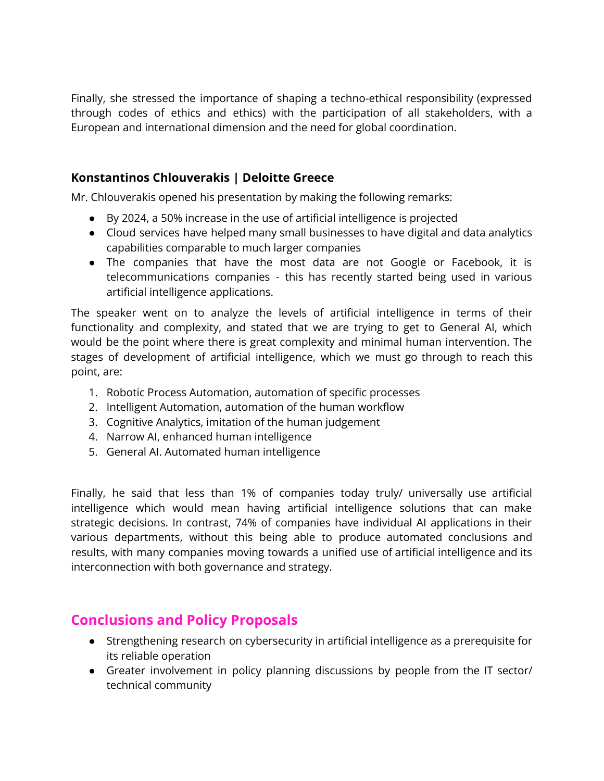Finally, she stressed the importance of shaping a techno-ethical responsibility (expressed through codes of ethics and ethics) with the participation of all stakeholders, with a European and international dimension and the need for global coordination.

#### **Konstantinos Chlouverakis | Deloitte Greece**

Mr. Chlouverakis opened his presentation by making the following remarks:

- By 2024, a 50% increase in the use of artificial intelligence is projected
- Cloud services have helped many small businesses to have digital and data analytics capabilities comparable to much larger companies
- The companies that have the most data are not Google or Facebook, it is telecommunications companies - this has recently started being used in various artificial intelligence applications.

The speaker went on to analyze the levels of artificial intelligence in terms of their functionality and complexity, and stated that we are trying to get to General AI, which would be the point where there is great complexity and minimal human intervention. The stages of development of artificial intelligence, which we must go through to reach this point, are:

- 1. Robotic Process Automation, automation of specific processes
- 2. Intelligent Automation, automation of the human workflow
- 3. Cognitive Analytics, imitation of the human judgement
- 4. Narrow AI, enhanced human intelligence
- 5. General AI. Automated human intelligence

Finally, he said that less than 1% of companies today truly/ universally use artificial intelligence which would mean having artificial intelligence solutions that can make strategic decisions. In contrast, 74% of companies have individual AI applications in their various departments, without this being able to produce automated conclusions and results, with many companies moving towards a unified use of artificial intelligence and its interconnection with both governance and strategy.

#### **Conclusions and Policy Proposals**

- Strengthening research on cybersecurity in artificial intelligence as a prerequisite for its reliable operation
- Greater involvement in policy planning discussions by people from the IT sector/ technical community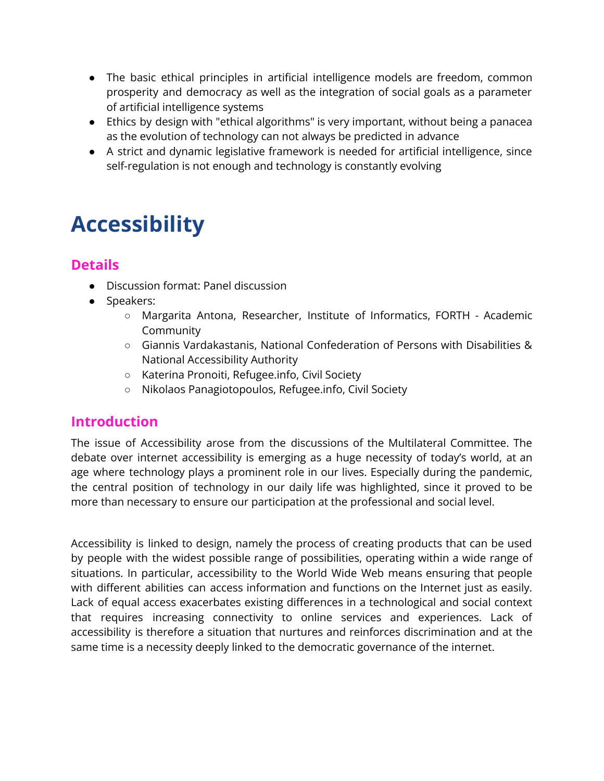- The basic ethical principles in artificial intelligence models are freedom, common prosperity and democracy as well as the integration of social goals as a parameter of artificial intelligence systems
- Ethics by design with "ethical algorithms" is very important, without being a panacea as the evolution of technology can not always be predicted in advance
- A strict and dynamic legislative framework is needed for artificial intelligence, since self-regulation is not enough and technology is constantly evolving

# **Accessibility**

# **Details**

- Discussion format: Panel discussion
- Speakers:
	- Margarita Antona, Researcher, Institute of Informatics, FORTH Academic Community
	- Giannis Vardakastanis, National Confederation of Persons with Disabilities & National Accessibility Authority
	- Katerina Pronoiti, Refugee.info, Civil Society
	- Nikolaos Panagiotopoulos, Refugee.info, Civil Society

## **Introduction**

The issue of Accessibility arose from the discussions of the Multilateral Committee. The debate over internet accessibility is emerging as a huge necessity of today's world, at an age where technology plays a prominent role in our lives. Especially during the pandemic, the central position of technology in our daily life was highlighted, since it proved to be more than necessary to ensure our participation at the professional and social level.

Accessibility is linked to design, namely the process of creating products that can be used by people with the widest possible range of possibilities, operating within a wide range of situations. In particular, accessibility to the World Wide Web means ensuring that people with different abilities can access information and functions on the Internet just as easily. Lack of equal access exacerbates existing differences in a technological and social context that requires increasing connectivity to online services and experiences. Lack of accessibility is therefore a situation that nurtures and reinforces discrimination and at the same time is a necessity deeply linked to the democratic governance of the internet.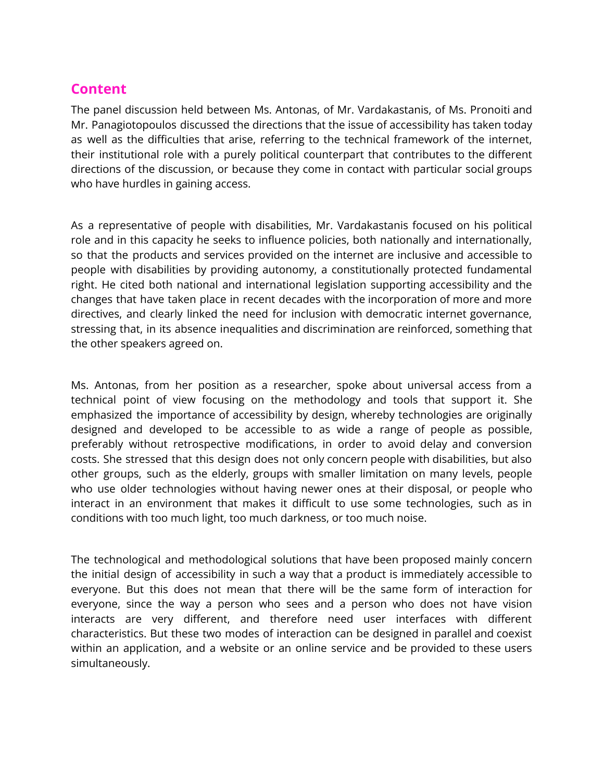#### **Content**

The panel discussion held between Ms. Antonas, of Mr. Vardakastanis, of Ms. Pronoiti and Mr. Panagiotopoulos discussed the directions that the issue of accessibility has taken today as well as the difficulties that arise, referring to the technical framework of the internet, their institutional role with a purely political counterpart that contributes to the different directions of the discussion, or because they come in contact with particular social groups who have hurdles in gaining access.

As a representative of people with disabilities, Mr. Vardakastanis focused on his political role and in this capacity he seeks to influence policies, both nationally and internationally, so that the products and services provided on the internet are inclusive and accessible to people with disabilities by providing autonomy, a constitutionally protected fundamental right. He cited both national and international legislation supporting accessibility and the changes that have taken place in recent decades with the incorporation of more and more directives, and clearly linked the need for inclusion with democratic internet governance, stressing that, in its absence inequalities and discrimination are reinforced, something that the other speakers agreed on.

Ms. Antonas, from her position as a researcher, spoke about universal access from a technical point of view focusing on the methodology and tools that support it. She emphasized the importance of accessibility by design, whereby technologies are originally designed and developed to be accessible to as wide a range of people as possible, preferably without retrospective modifications, in order to avoid delay and conversion costs. She stressed that this design does not only concern people with disabilities, but also other groups, such as the elderly, groups with smaller limitation on many levels, people who use older technologies without having newer ones at their disposal, or people who interact in an environment that makes it difficult to use some technologies, such as in conditions with too much light, too much darkness, or too much noise.

The technological and methodological solutions that have been proposed mainly concern the initial design of accessibility in such a way that a product is immediately accessible to everyone. But this does not mean that there will be the same form of interaction for everyone, since the way a person who sees and a person who does not have vision interacts are very different, and therefore need user interfaces with different characteristics. But these two modes of interaction can be designed in parallel and coexist within an application, and a website or an online service and be provided to these users simultaneously.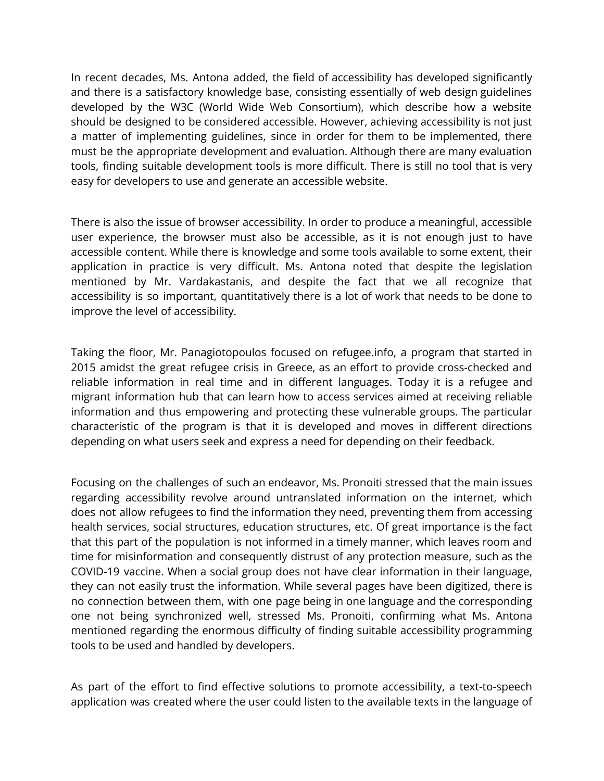In recent decades, Ms. Antona added, the field of accessibility has developed significantly and there is a satisfactory knowledge base, consisting essentially of web design guidelines developed by the W3C (World Wide Web Consortium), which describe how a website should be designed to be considered accessible. However, achieving accessibility is not just a matter of implementing guidelines, since in order for them to be implemented, there must be the appropriate development and evaluation. Although there are many evaluation tools, finding suitable development tools is more difficult. There is still no tool that is very easy for developers to use and generate an accessible website.

There is also the issue of browser accessibility. In order to produce a meaningful, accessible user experience, the browser must also be accessible, as it is not enough just to have accessible content. While there is knowledge and some tools available to some extent, their application in practice is very difficult. Ms. Antona noted that despite the legislation mentioned by Mr. Vardakastanis, and despite the fact that we all recognize that accessibility is so important, quantitatively there is a lot of work that needs to be done to improve the level of accessibility.

Taking the floor, Mr. Panagiotopoulos focused on refugee.info, a program that started in 2015 amidst the great refugee crisis in Greece, as an effort to provide cross-checked and reliable information in real time and in different languages. Today it is a refugee and migrant information hub that can learn how to access services aimed at receiving reliable information and thus empowering and protecting these vulnerable groups. The particular characteristic of the program is that it is developed and moves in different directions depending on what users seek and express a need for depending on their feedback.

Focusing on the challenges of such an endeavor, Ms. Pronoiti stressed that the main issues regarding accessibility revolve around untranslated information on the internet, which does not allow refugees to find the information they need, preventing them from accessing health services, social structures, education structures, etc. Of great importance is the fact that this part of the population is not informed in a timely manner, which leaves room and time for misinformation and consequently distrust of any protection measure, such as the COVID-19 vaccine. When a social group does not have clear information in their language, they can not easily trust the information. While several pages have been digitized, there is no connection between them, with one page being in one language and the corresponding one not being synchronized well, stressed Ms. Pronoiti, confirming what Ms. Antona mentioned regarding the enormous difficulty of finding suitable accessibility programming tools to be used and handled by developers.

As part of the effort to find effective solutions to promote accessibility, a text-to-speech application was created where the user could listen to the available texts in the language of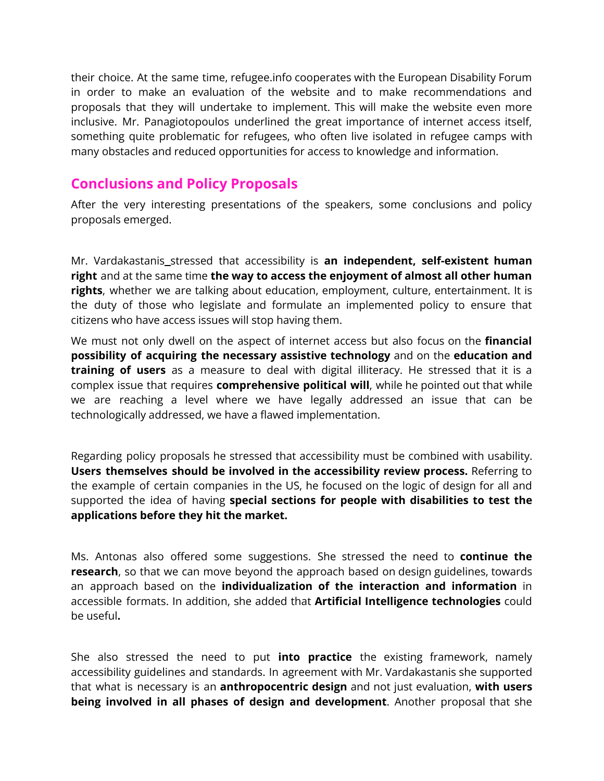their choice. At the same time, refugee.info cooperates with the European Disability Forum in order to make an evaluation of the website and to make recommendations and proposals that they will undertake to implement. This will make the website even more inclusive. Mr. Panagiotopoulos underlined the great importance of internet access itself, something quite problematic for refugees, who often live isolated in refugee camps with many obstacles and reduced opportunities for access to knowledge and information.

#### **Conclusions and Policy Proposals**

After the very interesting presentations of the speakers, some conclusions and policy proposals emerged.

Mr. Vardakastanis stressed that accessibility is **an independent, self-existent human right** and at the same time **the way to access the enjoyment of almost all other human rights**, whether we are talking about education, employment, culture, entertainment. It is the duty of those who legislate and formulate an implemented policy to ensure that citizens who have access issues will stop having them.

We must not only dwell on the aspect of internet access but also focus on the **financial possibility of acquiring the necessary assistive technology** and on the **education and training of users** as a measure to deal with digital illiteracy. He stressed that it is a complex issue that requires **comprehensive political will**, while he pointed out that while we are reaching a level where we have legally addressed an issue that can be technologically addressed, we have a flawed implementation.

Regarding policy proposals he stressed that accessibility must be combined with usability. **Users themselves should be involved in the accessibility review process.** Referring to the example of certain companies in the US, he focused on the logic of design for all and supported the idea of having **special sections for people with disabilities to test the applications before they hit the market.**

Ms. Antonas also offered some suggestions. She stressed the need to **continue the research**, so that we can move beyond the approach based on design guidelines, towards an approach based on the **individualization of the interaction and information** in accessible formats. In addition, she added that **Artificial Intelligence technologies** could be useful**.**

She also stressed the need to put **into practice** the existing framework, namely accessibility guidelines and standards. In agreement with Mr. Vardakastanis she supported that what is necessary is an **anthropocentric design** and not just evaluation, **with users being involved in all phases of design and development**. Another proposal that she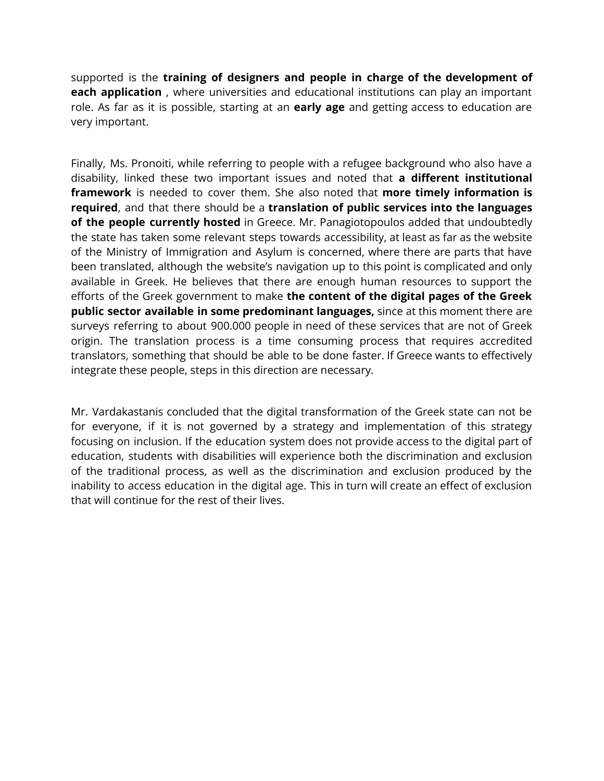supported is the **training of designers and people in charge of the development of each application** , where universities and educational institutions can play an important role. As far as it is possible, starting at an **early age** and getting access to education are very important.

Finally, Ms. Pronoiti, while referring to people with a refugee background who also have a disability, linked these two important issues and noted that **a different institutional framework** is needed to cover them. She also noted that **more timely information is required**, and that there should be a **translation of public services into the languages of the people currently hosted** in Greece. Mr. Panagiotopoulos added that undoubtedly the state has taken some relevant steps towards accessibility, at least as far as the website of the Ministry of Immigration and Asylum is concerned, where there are parts that have been translated, although the website's navigation up to this point is complicated and only available in Greek. He believes that there are enough human resources to support the efforts of the Greek government to make **the content of the digital pages of the Greek public sector available in some predominant languages,** since at this moment there are surveys referring to about 900.000 people in need of these services that are not of Greek origin. The translation process is a time consuming process that requires accredited translators, something that should be able to be done faster. If Greece wants to effectively integrate these people, steps in this direction are necessary.

Mr. Vardakastanis concluded that the digital transformation of the Greek state can not be for everyone, if it is not governed by a strategy and implementation of this strategy focusing on inclusion. If the education system does not provide access to the digital part of education, students with disabilities will experience both the discrimination and exclusion of the traditional process, as well as the discrimination and exclusion produced by the inability to access education in the digital age. This in turn will create an effect of exclusion that will continue for the rest of their lives.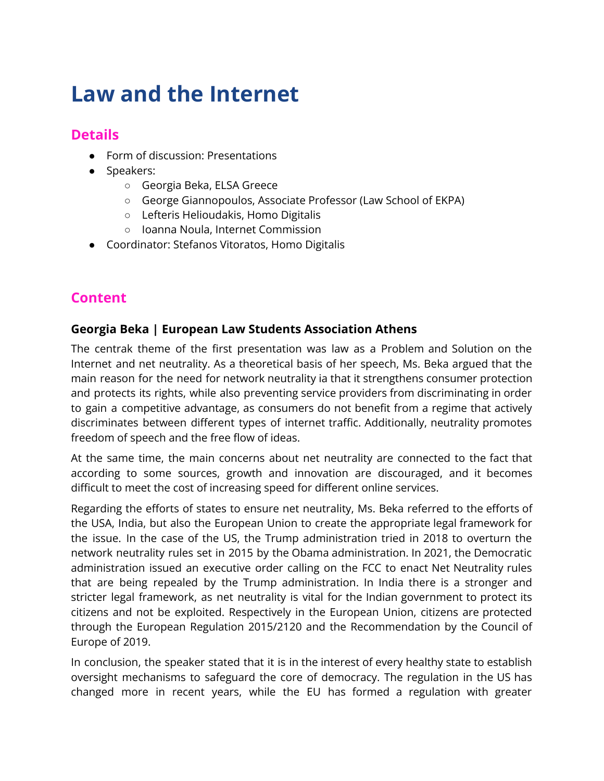# **Law and the Internet**

## **Details**

- Form of discussion: Presentations
- Speakers:
	- Georgia Beka, ELSA Greece
	- George Giannopoulos, Associate Professor (Law School of EKPA)
	- Lefteris Helioudakis, Homo Digitalis
	- Ioanna Noula, Internet Commission
- Coordinator: Stefanos Vitoratos, Homo Digitalis

# **Content**

#### **Georgia Beka | European Law Students Association Athens**

The centrak theme of the first presentation was law as a Problem and Solution on the Internet and net neutrality. As a theoretical basis of her speech, Ms. Beka argued that the main reason for the need for network neutrality ia that it strengthens consumer protection and protects its rights, while also preventing service providers from discriminating in order to gain a competitive advantage, as consumers do not benefit from a regime that actively discriminates between different types of internet traffic. Additionally, neutrality promotes freedom of speech and the free flow of ideas.

At the same time, the main concerns about net neutrality are connected to the fact that according to some sources, growth and innovation are discouraged, and it becomes difficult to meet the cost of increasing speed for different online services.

Regarding the efforts of states to ensure net neutrality, Ms. Beka referred to the efforts of the USA, India, but also the European Union to create the appropriate legal framework for the issue. In the case of the US, the Trump administration tried in 2018 to overturn the network neutrality rules set in 2015 by the Obama administration. In 2021, the Democratic administration issued an executive order calling on the FCC to enact Net Neutrality rules that are being repealed by the Trump administration. In India there is a stronger and stricter legal framework, as net neutrality is vital for the Indian government to protect its citizens and not be exploited. Respectively in the European Union, citizens are protected through the European Regulation 2015/2120 and the Recommendation by the Council of Europe of 2019.

In conclusion, the speaker stated that it is in the interest of every healthy state to establish oversight mechanisms to safeguard the core of democracy. The regulation in the US has changed more in recent years, while the EU has formed a regulation with greater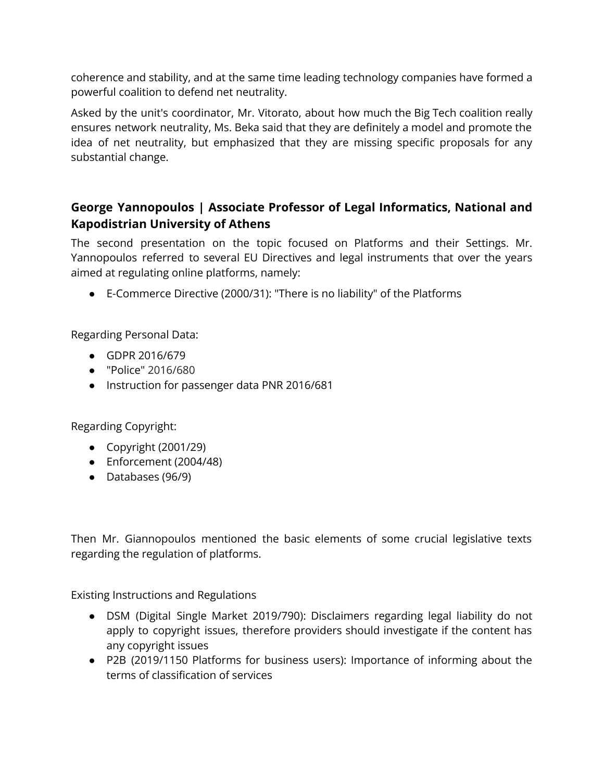coherence and stability, and at the same time leading technology companies have formed a powerful coalition to defend net neutrality.

Asked by the unit's coordinator, Mr. Vitorato, about how much the Big Tech coalition really ensures network neutrality, Ms. Beka said that they are definitely a model and promote the idea of net neutrality, but emphasized that they are missing specific proposals for any substantial change.

#### **George Yannopoulos | Associate Professor of Legal Informatics, National and Kapodistrian University of Athens**

The second presentation on the topic focused on Platforms and their Settings. Mr. Yannopoulos referred to several EU Directives and legal instruments that over the years aimed at regulating online platforms, namely:

● E-Commerce Directive (2000/31): "There is no liability" of the Platforms

Regarding Personal Data:

- GDPR 2016/679
- "Police" 2016/680
- Instruction for passenger data PNR 2016/681

Regarding Copyright:

- $\bullet$  Copyright (2001/29)
- Enforcement (2004/48)
- Databases (96/9)

Then Mr. Giannopoulos mentioned the basic elements of some crucial legislative texts regarding the regulation of platforms.

Existing Instructions and Regulations

- DSM (Digital Single Market 2019/790): Disclaimers regarding legal liability do not apply to copyright issues, therefore providers should investigate if the content has any copyright issues
- P2B (2019/1150 Platforms for business users): Importance of informing about the terms of classification of services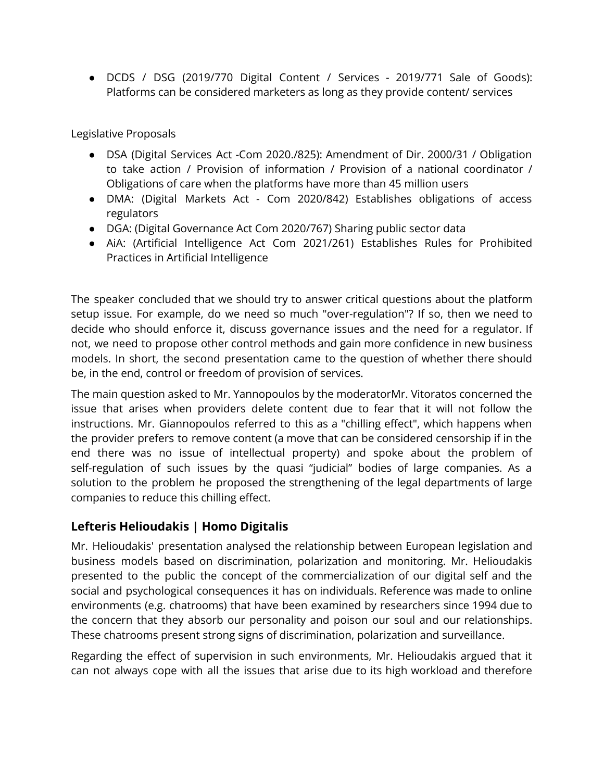● DCDS / DSG (2019/770 Digital Content / Services - 2019/771 Sale of Goods): Platforms can be considered marketers as long as they provide content/ services

Legislative Proposals

- DSA (Digital Services Act -Com 2020./825): Amendment of Dir. 2000/31 / Obligation to take action / Provision of information / Provision of a national coordinator / Obligations of care when the platforms have more than 45 million users
- DMA: (Digital Markets Act Com 2020/842) Establishes obligations of access regulators
- DGA: (Digital Governance Act Com 2020/767) Sharing public sector data
- AiA: (Artificial Intelligence Act Com 2021/261) Establishes Rules for Prohibited Practices in Artificial Intelligence

The speaker concluded that we should try to answer critical questions about the platform setup issue. For example, do we need so much "over-regulation"? If so, then we need to decide who should enforce it, discuss governance issues and the need for a regulator. If not, we need to propose other control methods and gain more confidence in new business models. In short, the second presentation came to the question of whether there should be, in the end, control or freedom of provision of services.

The main question asked to Mr. Yannopoulos by the moderatorMr. Vitoratos concerned the issue that arises when providers delete content due to fear that it will not follow the instructions. Mr. Giannopoulos referred to this as a "chilling effect", which happens when the provider prefers to remove content (a move that can be considered censorship if in the end there was no issue of intellectual property) and spoke about the problem of self-regulation of such issues by the quasi "judicial" bodies of large companies. As a solution to the problem he proposed the strengthening of the legal departments of large companies to reduce this chilling effect.

#### **Lefteris Helioudakis | Homo Digitalis**

Mr. Helioudakis' presentation analysed the relationship between European legislation and business models based on discrimination, polarization and monitoring. Mr. Helioudakis presented to the public the concept of the commercialization of our digital self and the social and psychological consequences it has on individuals. Reference was made to online environments (e.g. chatrooms) that have been examined by researchers since 1994 due to the concern that they absorb our personality and poison our soul and our relationships. These chatrooms present strong signs of discrimination, polarization and surveillance.

Regarding the effect of supervision in such environments, Mr. Helioudakis argued that it can not always cope with all the issues that arise due to its high workload and therefore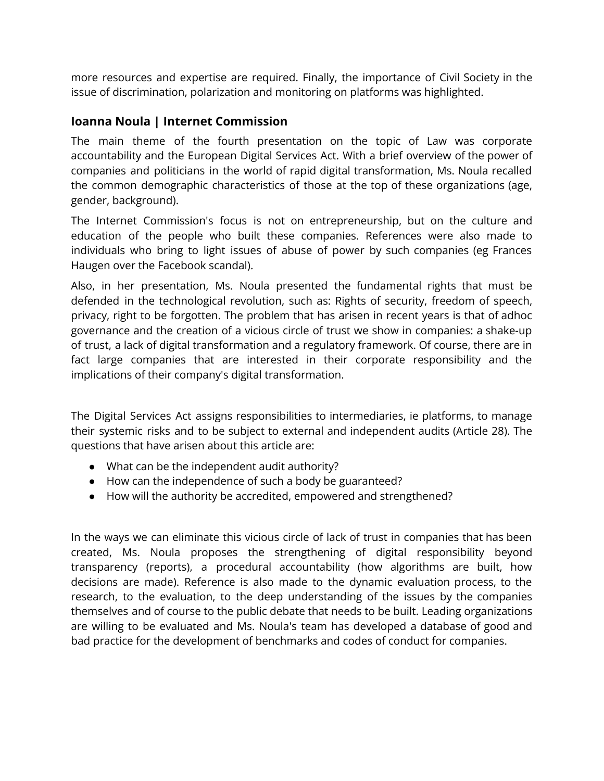more resources and expertise are required. Finally, the importance of Civil Society in the issue of discrimination, polarization and monitoring on platforms was highlighted.

#### **Ioanna Noula | Internet Commission**

The main theme of the fourth presentation on the topic of Law was corporate accountability and the European Digital Services Act. With a brief overview of the power of companies and politicians in the world of rapid digital transformation, Ms. Noula recalled the common demographic characteristics of those at the top of these organizations (age, gender, background).

The Internet Commission's focus is not on entrepreneurship, but on the culture and education of the people who built these companies. References were also made to individuals who bring to light issues of abuse of power by such companies (eg Frances Haugen over the Facebook scandal).

Also, in her presentation, Ms. Noula presented the fundamental rights that must be defended in the technological revolution, such as: Rights of security, freedom of speech, privacy, right to be forgotten. The problem that has arisen in recent years is that of adhoc governance and the creation of a vicious circle of trust we show in companies: a shake-up of trust, a lack of digital transformation and a regulatory framework. Of course, there are in fact large companies that are interested in their corporate responsibility and the implications of their company's digital transformation.

The Digital Services Act assigns responsibilities to intermediaries, ie platforms, to manage their systemic risks and to be subject to external and independent audits (Article 28). The questions that have arisen about this article are:

- What can be the independent audit authority?
- How can the independence of such a body be guaranteed?
- How will the authority be accredited, empowered and strengthened?

In the ways we can eliminate this vicious circle of lack of trust in companies that has been created, Ms. Noula proposes the strengthening of digital responsibility beyond transparency (reports), a procedural accountability (how algorithms are built, how decisions are made). Reference is also made to the dynamic evaluation process, to the research, to the evaluation, to the deep understanding of the issues by the companies themselves and of course to the public debate that needs to be built. Leading organizations are willing to be evaluated and Ms. Noula's team has developed a database of good and bad practice for the development of benchmarks and codes of conduct for companies.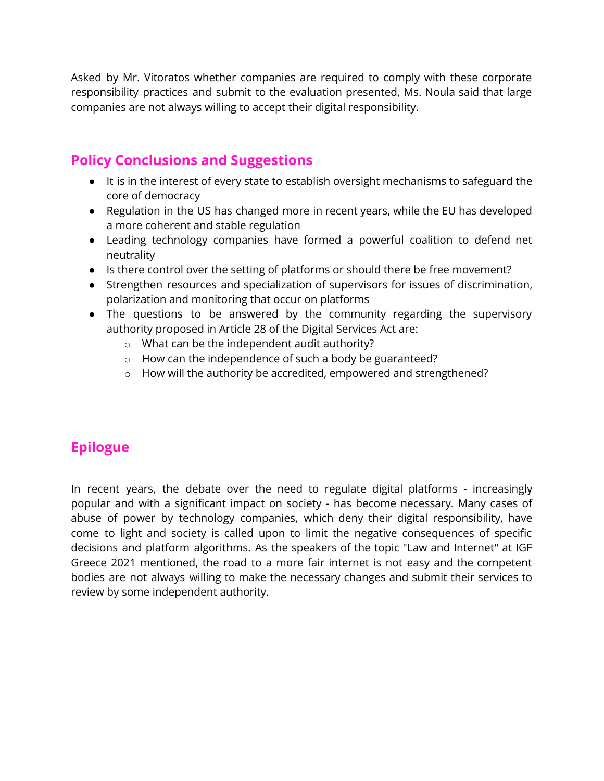Asked by Mr. Vitoratos whether companies are required to comply with these corporate responsibility practices and submit to the evaluation presented, Ms. Noula said that large companies are not always willing to accept their digital responsibility.

## **Policy Conclusions and Suggestions**

- It is in the interest of every state to establish oversight mechanisms to safeguard the core of democracy
- Regulation in the US has changed more in recent years, while the EU has developed a more coherent and stable regulation
- Leading technology companies have formed a powerful coalition to defend net neutrality
- Is there control over the setting of platforms or should there be free movement?
- Strengthen resources and specialization of supervisors for issues of discrimination, polarization and monitoring that occur on platforms
- The questions to be answered by the community regarding the supervisory authority proposed in Article 28 of the Digital Services Act are:
	- o What can be the independent audit authority?
	- o How can the independence of such a body be guaranteed?
	- o How will the authority be accredited, empowered and strengthened?

# **Epilogue**

In recent years, the debate over the need to regulate digital platforms - increasingly popular and with a significant impact on society - has become necessary. Many cases of abuse of power by technology companies, which deny their digital responsibility, have come to light and society is called upon to limit the negative consequences of specific decisions and platform algorithms. As the speakers of the topic "Law and Internet" at IGF Greece 2021 mentioned, the road to a more fair internet is not easy and the competent bodies are not always willing to make the necessary changes and submit their services to review by some independent authority.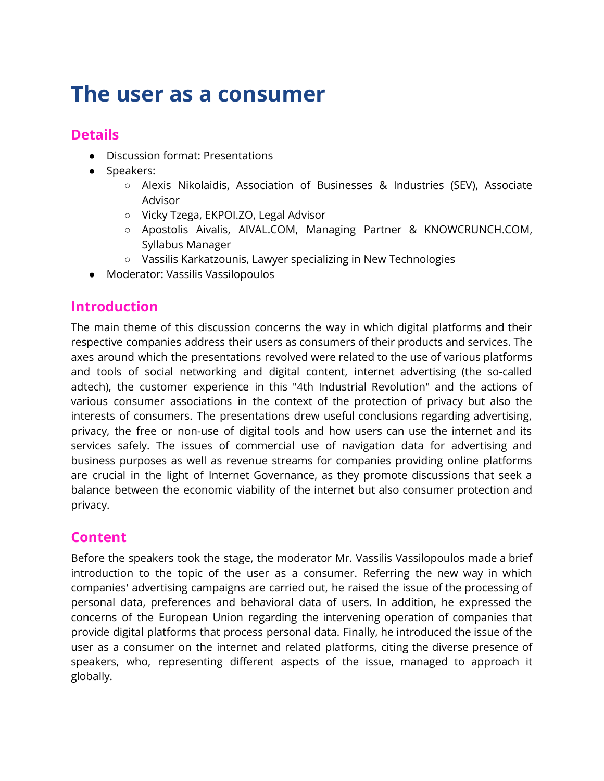# **The user as a consumer**

## **Details**

- Discussion format: Presentations
- Speakers:
	- Alexis Nikolaidis, Association of Businesses & Industries (SEV), Associate Advisor
	- Vicky Tzega, EKPOI.ZO, Legal Advisor
	- Apostolis Aivalis, AIVAL.COM, Managing Partner & KNOWCRUNCH.COM, Syllabus Manager
	- Vassilis Karkatzounis, Lawyer specializing in New Technologies
- Moderator: Vassilis Vassilopoulos

#### **Introduction**

The main theme of this discussion concerns the way in which digital platforms and their respective companies address their users as consumers of their products and services. The axes around which the presentations revolved were related to the use of various platforms and tools of social networking and digital content, internet advertising (the so-called adtech), the customer experience in this "4th Industrial Revolution" and the actions of various consumer associations in the context of the protection of privacy but also the interests of consumers. The presentations drew useful conclusions regarding advertising, privacy, the free or non-use of digital tools and how users can use the internet and its services safely. The issues of commercial use of navigation data for advertising and business purposes as well as revenue streams for companies providing online platforms are crucial in the light of Internet Governance, as they promote discussions that seek a balance between the economic viability of the internet but also consumer protection and privacy.

# **Content**

Before the speakers took the stage, the moderator Mr. Vassilis Vassilopoulos made a brief introduction to the topic of the user as a consumer. Referring the new way in which companies' advertising campaigns are carried out, he raised the issue of the processing of personal data, preferences and behavioral data of users. In addition, he expressed the concerns of the European Union regarding the intervening operation of companies that provide digital platforms that process personal data. Finally, he introduced the issue of the user as a consumer on the internet and related platforms, citing the diverse presence of speakers, who, representing different aspects of the issue, managed to approach it globally.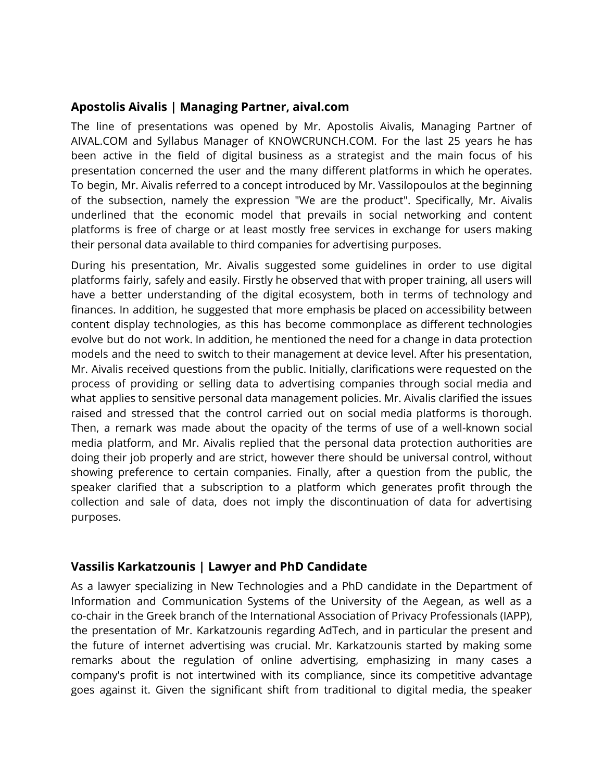#### **Apostolis Aivalis | Managing Partner, aival.com**

The line of presentations was opened by Mr. Apostolis Aivalis, Managing Partner of AIVAL.COM and Syllabus Manager of KNOWCRUNCH.COM. For the last 25 years he has been active in the field of digital business as a strategist and the main focus of his presentation concerned the user and the many different platforms in which he operates. To begin, Mr. Aivalis referred to a concept introduced by Mr. Vassilopoulos at the beginning of the subsection, namely the expression "We are the product". Specifically, Mr. Aivalis underlined that the economic model that prevails in social networking and content platforms is free of charge or at least mostly free services in exchange for users making their personal data available to third companies for advertising purposes.

During his presentation, Mr. Aivalis suggested some guidelines in order to use digital platforms fairly, safely and easily. Firstly he observed that with proper training, all users will have a better understanding of the digital ecosystem, both in terms of technology and finances. In addition, he suggested that more emphasis be placed on accessibility between content display technologies, as this has become commonplace as different technologies evolve but do not work. In addition, he mentioned the need for a change in data protection models and the need to switch to their management at device level. After his presentation, Mr. Aivalis received questions from the public. Initially, clarifications were requested on the process of providing or selling data to advertising companies through social media and what applies to sensitive personal data management policies. Mr. Aivalis clarified the issues raised and stressed that the control carried out on social media platforms is thorough. Then, a remark was made about the opacity of the terms of use of a well-known social media platform, and Mr. Aivalis replied that the personal data protection authorities are doing their job properly and are strict, however there should be universal control, without showing preference to certain companies. Finally, after a question from the public, the speaker clarified that a subscription to a platform which generates profit through the collection and sale of data, does not imply the discontinuation of data for advertising purposes.

#### **Vassilis Karkatzounis | Lawyer and PhD Candidate**

As a lawyer specializing in New Technologies and a PhD candidate in the Department of Information and Communication Systems of the University of the Aegean, as well as a co-chair in the Greek branch of the International Association of Privacy Professionals (IAPP), the presentation of Mr. Karkatzounis regarding AdTech, and in particular the present and the future of internet advertising was crucial. Mr. Karkatzounis started by making some remarks about the regulation of online advertising, emphasizing in many cases a company's profit is not intertwined with its compliance, since its competitive advantage goes against it. Given the significant shift from traditional to digital media, the speaker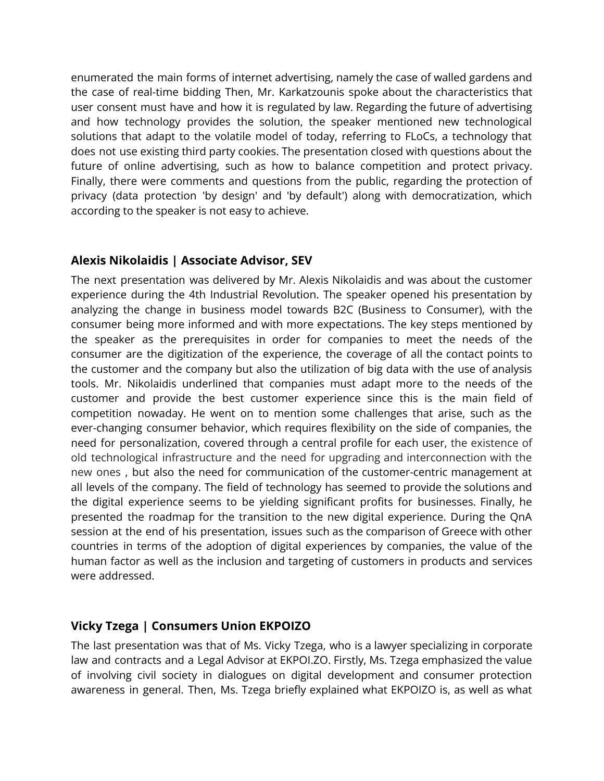enumerated the main forms of internet advertising, namely the case of walled gardens and the case of real-time bidding Then, Mr. Karkatzounis spoke about the characteristics that user consent must have and how it is regulated by law. Regarding the future of advertising and how technology provides the solution, the speaker mentioned new technological solutions that adapt to the volatile model of today, referring to FLoCs, a technology that does not use existing third party cookies. The presentation closed with questions about the future of online advertising, such as how to balance competition and protect privacy. Finally, there were comments and questions from the public, regarding the protection of privacy (data protection 'by design' and 'by default') along with democratization, which according to the speaker is not easy to achieve.

#### **Alexis Nikolaidis | Associate Advisor, SEV**

The next presentation was delivered by Mr. Alexis Nikolaidis and was about the customer experience during the 4th Industrial Revolution. The speaker opened his presentation by analyzing the change in business model towards B2C (Business to Consumer), with the consumer being more informed and with more expectations. The key steps mentioned by the speaker as the prerequisites in order for companies to meet the needs of the consumer are the digitization of the experience, the coverage of all the contact points to the customer and the company but also the utilization of big data with the use of analysis tools. Mr. Nikolaidis underlined that companies must adapt more to the needs of the customer and provide the best customer experience since this is the main field of competition nowaday. He went on to mention some challenges that arise, such as the ever-changing consumer behavior, which requires flexibility on the side of companies, the need for personalization, covered through a central profile for each user, the existence of old technological infrastructure and the need for upgrading and interconnection with the new ones , but also the need for communication of the customer-centric management at all levels of the company. The field of technology has seemed to provide the solutions and the digital experience seems to be yielding significant profits for businesses. Finally, he presented the roadmap for the transition to the new digital experience. During the QnA session at the end of his presentation, issues such as the comparison of Greece with other countries in terms of the adoption of digital experiences by companies, the value of the human factor as well as the inclusion and targeting of customers in products and services were addressed.

#### **Vicky Tzega | Consumers Union EKPOIZO**

The last presentation was that of Ms. Vicky Tzega, who is a lawyer specializing in corporate law and contracts and a Legal Advisor at EKPOI.ZO. Firstly, Ms. Tzega emphasized the value of involving civil society in dialogues on digital development and consumer protection awareness in general. Then, Ms. Tzega briefly explained what EKPOIZO is, as well as what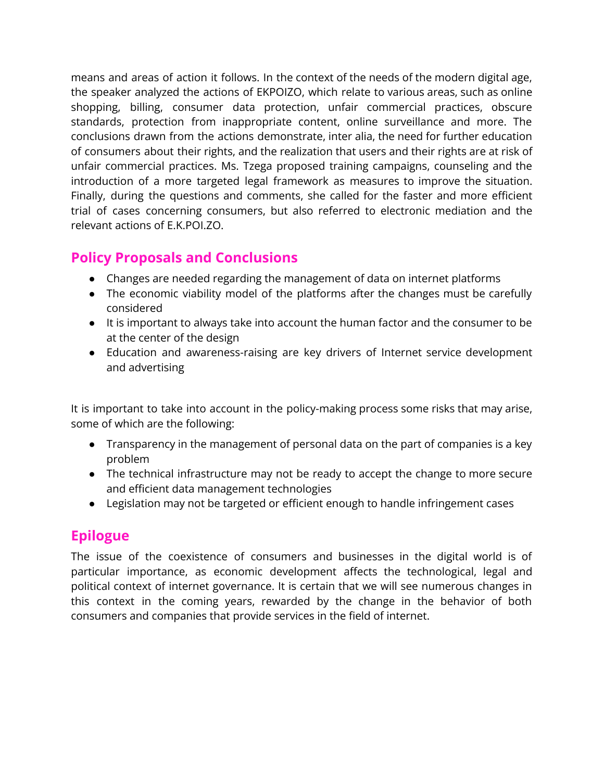means and areas of action it follows. In the context of the needs of the modern digital age, the speaker analyzed the actions of EKPOIZO, which relate to various areas, such as online shopping, billing, consumer data protection, unfair commercial practices, obscure standards, protection from inappropriate content, online surveillance and more. The conclusions drawn from the actions demonstrate, inter alia, the need for further education of consumers about their rights, and the realization that users and their rights are at risk of unfair commercial practices. Ms. Tzega proposed training campaigns, counseling and the introduction of a more targeted legal framework as measures to improve the situation. Finally, during the questions and comments, she called for the faster and more efficient trial of cases concerning consumers, but also referred to electronic mediation and the relevant actions of E.K.POI.ZO.

## **Policy Proposals and Conclusions**

- Changes are needed regarding the management of data on internet platforms
- The economic viability model of the platforms after the changes must be carefully considered
- It is important to always take into account the human factor and the consumer to be at the center of the design
- Education and awareness-raising are key drivers of Internet service development and advertising

It is important to take into account in the policy-making process some risks that may arise, some of which are the following:

- Transparency in the management of personal data on the part of companies is a key problem
- The technical infrastructure may not be ready to accept the change to more secure and efficient data management technologies
- Legislation may not be targeted or efficient enough to handle infringement cases

# **Epilogue**

The issue of the coexistence of consumers and businesses in the digital world is of particular importance, as economic development affects the technological, legal and political context of internet governance. It is certain that we will see numerous changes in this context in the coming years, rewarded by the change in the behavior of both consumers and companies that provide services in the field of internet.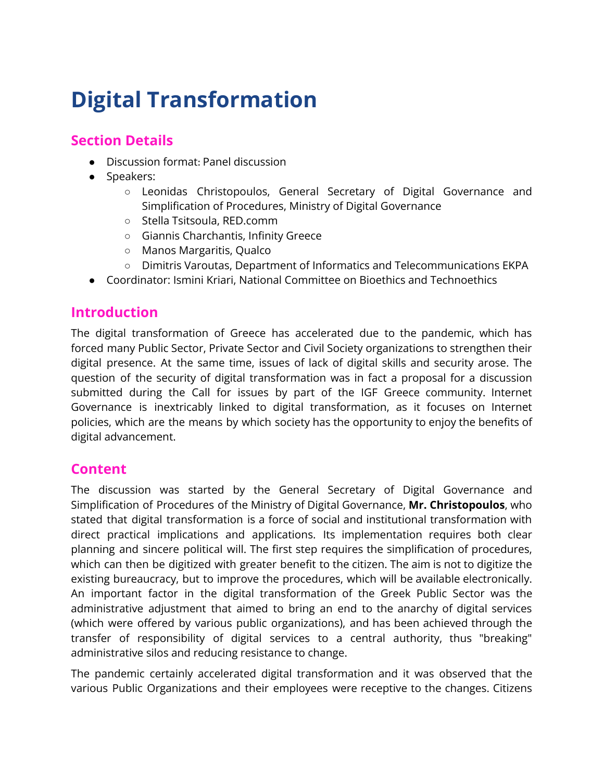# **Digital Transformation**

## **Section Details**

- Discussion format: Panel discussion
- Speakers:
	- Leonidas Christopoulos, General Secretary of Digital Governance and Simplification of Procedures, Ministry of Digital Governance
	- Stella Tsitsoula, RED.comm
	- Giannis Charchantis, Infinity Greece
	- Manos Margaritis, Qualco
	- Dimitris Varoutas, Department of Informatics and Telecommunications EKPA
- Coordinator: Ismini Kriari, National Committee on Bioethics and Technoethics

## **Introduction**

The digital transformation of Greece has accelerated due to the pandemic, which has forced many Public Sector, Private Sector and Civil Society organizations to strengthen their digital presence. At the same time, issues of lack of digital skills and security arose. The question of the security of digital transformation was in fact a proposal for a discussion submitted during the Call for issues by part of the IGF Greece community. Internet Governance is inextricably linked to digital transformation, as it focuses on Internet policies, which are the means by which society has the opportunity to enjoy the benefits of digital advancement.

#### **Content**

The discussion was started by the General Secretary of Digital Governance and Simplification of Procedures of the Ministry of Digital Governance, **Mr. Christopoulos**, who stated that digital transformation is a force of social and institutional transformation with direct practical implications and applications. Its implementation requires both clear planning and sincere political will. The first step requires the simplification of procedures, which can then be digitized with greater benefit to the citizen. The aim is not to digitize the existing bureaucracy, but to improve the procedures, which will be available electronically. An important factor in the digital transformation of the Greek Public Sector was the administrative adjustment that aimed to bring an end to the anarchy of digital services (which were offered by various public organizations), and has been achieved through the transfer of responsibility of digital services to a central authority, thus "breaking" administrative silos and reducing resistance to change.

The pandemic certainly accelerated digital transformation and it was observed that the various Public Organizations and their employees were receptive to the changes. Citizens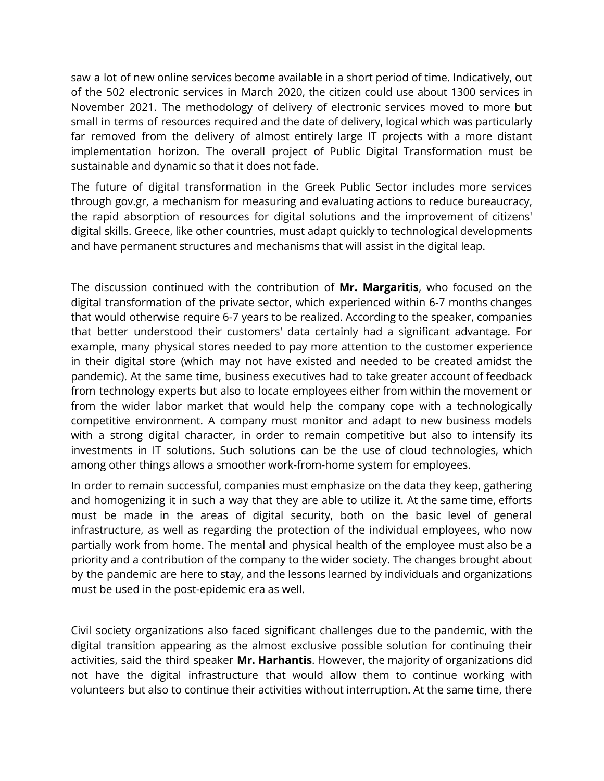saw a lot of new online services become available in a short period of time. Indicatively, out of the 502 electronic services in March 2020, the citizen could use about 1300 services in November 2021. The methodology of delivery of electronic services moved to more but small in terms of resources required and the date of delivery, logical which was particularly far removed from the delivery of almost entirely large IT projects with a more distant implementation horizon. The overall project of Public Digital Transformation must be sustainable and dynamic so that it does not fade.

The future of digital transformation in the Greek Public Sector includes more services through gov.gr, a mechanism for measuring and evaluating actions to reduce bureaucracy, the rapid absorption of resources for digital solutions and the improvement of citizens' digital skills. Greece, like other countries, must adapt quickly to technological developments and have permanent structures and mechanisms that will assist in the digital leap.

The discussion continued with the contribution of **Mr. Margaritis**, who focused on the digital transformation of the private sector, which experienced within 6-7 months changes that would otherwise require 6-7 years to be realized. According to the speaker, companies that better understood their customers' data certainly had a significant advantage. For example, many physical stores needed to pay more attention to the customer experience in their digital store (which may not have existed and needed to be created amidst the pandemic). At the same time, business executives had to take greater account of feedback from technology experts but also to locate employees either from within the movement or from the wider labor market that would help the company cope with a technologically competitive environment. A company must monitor and adapt to new business models with a strong digital character, in order to remain competitive but also to intensify its investments in IT solutions. Such solutions can be the use of cloud technologies, which among other things allows a smoother work-from-home system for employees.

In order to remain successful, companies must emphasize on the data they keep, gathering and homogenizing it in such a way that they are able to utilize it. At the same time, efforts must be made in the areas of digital security, both on the basic level of general infrastructure, as well as regarding the protection of the individual employees, who now partially work from home. The mental and physical health of the employee must also be a priority and a contribution of the company to the wider society. The changes brought about by the pandemic are here to stay, and the lessons learned by individuals and organizations must be used in the post-epidemic era as well.

Civil society organizations also faced significant challenges due to the pandemic, with the digital transition appearing as the almost exclusive possible solution for continuing their activities, said the third speaker **Mr. Harhantis**. However, the majority of organizations did not have the digital infrastructure that would allow them to continue working with volunteers but also to continue their activities without interruption. At the same time, there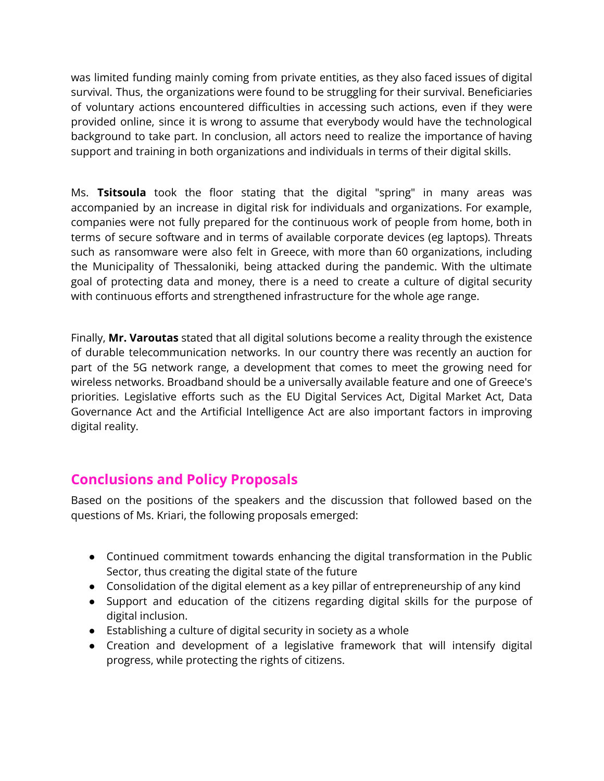was limited funding mainly coming from private entities, as they also faced issues of digital survival. Thus, the organizations were found to be struggling for their survival. Beneficiaries of voluntary actions encountered difficulties in accessing such actions, even if they were provided online, since it is wrong to assume that everybody would have the technological background to take part. In conclusion, all actors need to realize the importance of having support and training in both organizations and individuals in terms of their digital skills.

Ms. **Tsitsoula** took the floor stating that the digital "spring" in many areas was accompanied by an increase in digital risk for individuals and organizations. For example, companies were not fully prepared for the continuous work of people from home, both in terms of secure software and in terms of available corporate devices (eg laptops). Threats such as ransomware were also felt in Greece, with more than 60 organizations, including the Municipality of Thessaloniki, being attacked during the pandemic. With the ultimate goal of protecting data and money, there is a need to create a culture of digital security with continuous efforts and strengthened infrastructure for the whole age range.

Finally, **Mr. Varoutas** stated that all digital solutions become a reality through the existence of durable telecommunication networks. In our country there was recently an auction for part of the 5G network range, a development that comes to meet the growing need for wireless networks. Broadband should be a universally available feature and one of Greece's priorities. Legislative efforts such as the EU Digital Services Act, Digital Market Act, Data Governance Act and the Artificial Intelligence Act are also important factors in improving digital reality.

# **Conclusions and Policy Proposals**

Based on the positions of the speakers and the discussion that followed based on the questions of Ms. Kriari, the following proposals emerged:

- Continued commitment towards enhancing the digital transformation in the Public Sector, thus creating the digital state of the future
- Consolidation of the digital element as a key pillar of entrepreneurship of any kind
- Support and education of the citizens regarding digital skills for the purpose of digital inclusion.
- Establishing a culture of digital security in society as a whole
- Creation and development of a legislative framework that will intensify digital progress, while protecting the rights of citizens.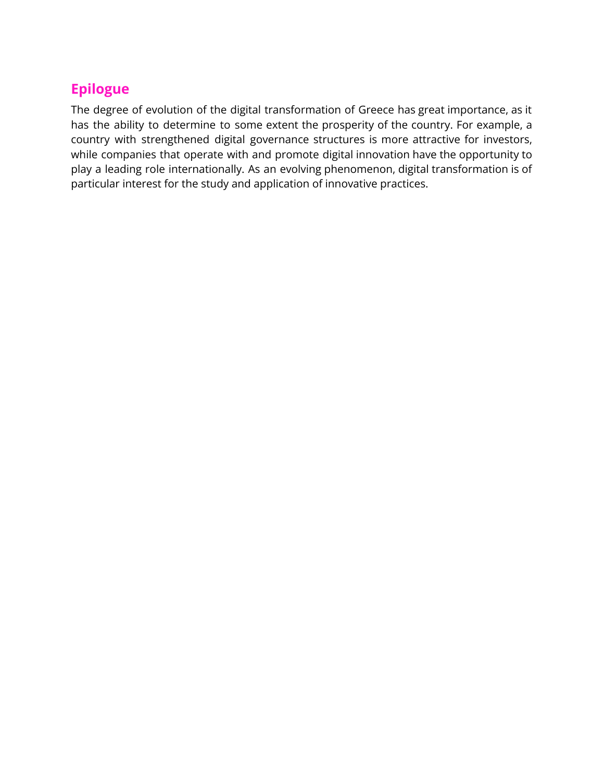# **Epilogue**

The degree of evolution of the digital transformation of Greece has great importance, as it has the ability to determine to some extent the prosperity of the country. For example, a country with strengthened digital governance structures is more attractive for investors, while companies that operate with and promote digital innovation have the opportunity to play a leading role internationally. As an evolving phenomenon, digital transformation is of particular interest for the study and application of innovative practices.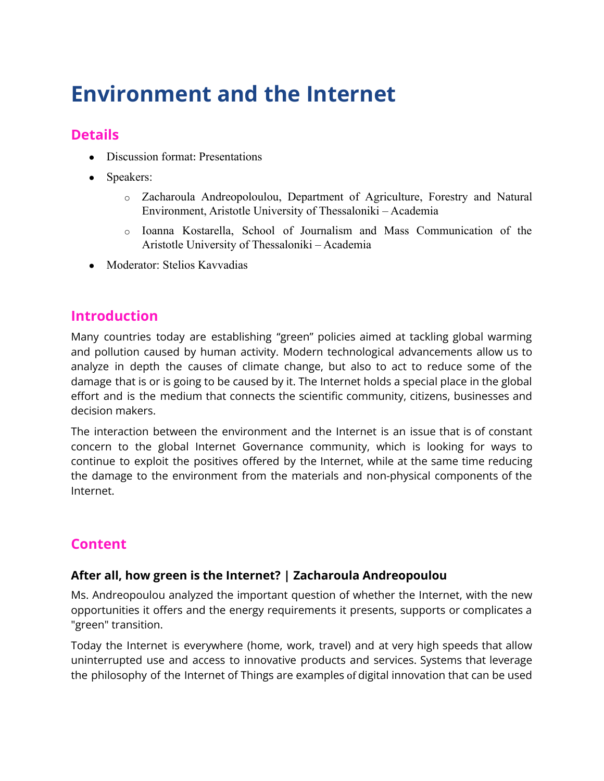# **Environment and the Internet**

## **Details**

- Discussion format: Presentations
- Speakers:
	- o Zacharoula Andreopoloulou, Department of Agriculture, Forestry and Natural Environment, Aristotle University of Thessaloniki – Academia
	- o Ioanna Kostarella, School of Journalism and Mass Communication of the Aristotle University of Thessaloniki – Academia
- Moderator: Stelios Kavvadias

#### **Introduction**

Many countries today are establishing "green" policies aimed at tackling global warming and pollution caused by human activity. Modern technological advancements allow us to analyze in depth the causes of climate change, but also to act to reduce some of the damage that is or is going to be caused by it. The Internet holds a special place in the global effort and is the medium that connects the scientific community, citizens, businesses and decision makers.

The interaction between the environment and the Internet is an issue that is of constant concern to the global Internet Governance community, which is looking for ways to continue to exploit the positives offered by the Internet, while at the same time reducing the damage to the environment from the materials and non-physical components of the Internet.

## **Content**

#### **After all, how green is the Internet? | Zacharoula Andreopoulou**

Ms. Andreopoulou analyzed the important question of whether the Internet, with the new opportunities it offers and the energy requirements it presents, supports or complicates a "green" transition.

Today the Internet is everywhere (home, work, travel) and at very high speeds that allow uninterrupted use and access to innovative products and services. Systems that leverage the philosophy of the Internet of Things are examples of digital innovation that can be used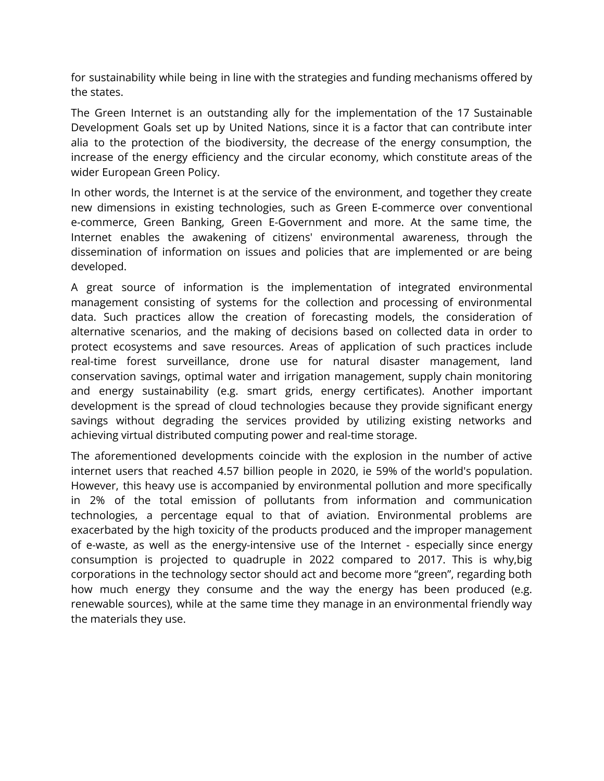for sustainability while being in line with the strategies and funding mechanisms offered by the states.

The Green Internet is an outstanding ally for the implementation of the 17 Sustainable Development Goals set up by United Nations, since it is a factor that can contribute inter alia to the protection of the biodiversity, the decrease of the energy consumption, the increase of the energy efficiency and the circular economy, which constitute areas of the wider European Green Policy.

In other words, the Internet is at the service of the environment, and together they create new dimensions in existing technologies, such as Green E-commerce over conventional e-commerce, Green Banking, Green E-Government and more. At the same time, the Internet enables the awakening of citizens' environmental awareness, through the dissemination of information on issues and policies that are implemented or are being developed.

A great source of information is the implementation of integrated environmental management consisting of systems for the collection and processing of environmental data. Such practices allow the creation of forecasting models, the consideration of alternative scenarios, and the making of decisions based on collected data in order to protect ecosystems and save resources. Areas of application of such practices include real-time forest surveillance, drone use for natural disaster management, land conservation savings, optimal water and irrigation management, supply chain monitoring and energy sustainability (e.g. smart grids, energy certificates). Another important development is the spread of cloud technologies because they provide significant energy savings without degrading the services provided by utilizing existing networks and achieving virtual distributed computing power and real-time storage.

The aforementioned developments coincide with the explosion in the number of active internet users that reached 4.57 billion people in 2020, ie 59% of the world's population. However, this heavy use is accompanied by environmental pollution and more specifically in 2% of the total emission of pollutants from information and communication technologies, a percentage equal to that of aviation. Environmental problems are exacerbated by the high toxicity of the products produced and the improper management of e-waste, as well as the energy-intensive use of the Internet - especially since energy consumption is projected to quadruple in 2022 compared to 2017. This is why,big corporations in the technology sector should act and become more "green", regarding both how much energy they consume and the way the energy has been produced (e.g. renewable sources), while at the same time they manage in an environmental friendly way the materials they use.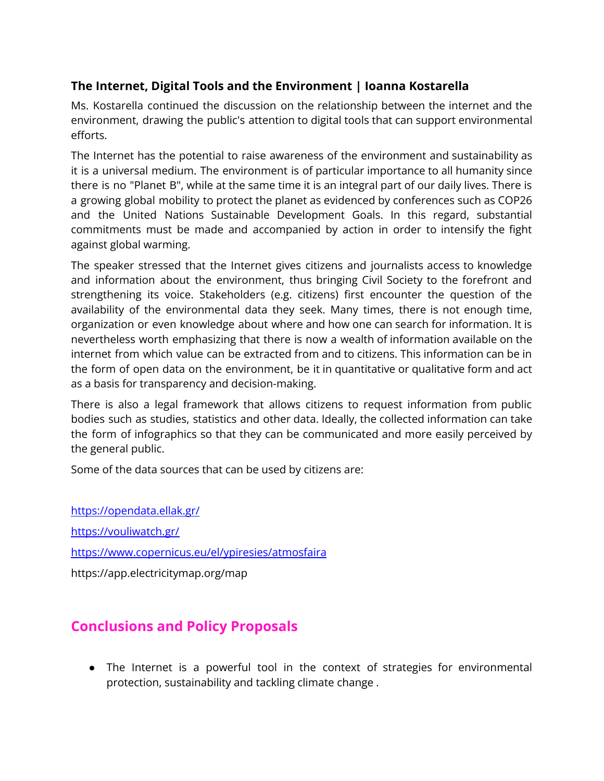#### **The Internet, Digital Tools and the Environment | Ioanna Kostarella**

Ms. Kostarella continued the discussion on the relationship between the internet and the environment, drawing the public's attention to digital tools that can support environmental efforts.

The Internet has the potential to raise awareness of the environment and sustainability as it is a universal medium. The environment is of particular importance to all humanity since there is no "Planet B", while at the same time it is an integral part of our daily lives. There is a growing global mobility to protect the planet as evidenced by conferences such as COP26 and the United Nations Sustainable Development Goals. In this regard, substantial commitments must be made and accompanied by action in order to intensify the fight against global warming.

The speaker stressed that the Internet gives citizens and journalists access to knowledge and information about the environment, thus bringing Civil Society to the forefront and strengthening its voice. Stakeholders (e.g. citizens) first encounter the question of the availability of the environmental data they seek. Many times, there is not enough time, organization or even knowledge about where and how one can search for information. It is nevertheless worth emphasizing that there is now a wealth of information available on the internet from which value can be extracted from and to citizens. This information can be in the form of open data on the environment, be it in quantitative or qualitative form and act as a basis for transparency and decision-making.

There is also a legal framework that allows citizens to request information from public bodies such as studies, statistics and other data. Ideally, the collected information can take the form of infographics so that they can be communicated and more easily perceived by the general public.

Some of the data sources that can be used by citizens are:

<https://opendata.ellak.gr/> <https://vouliwatch.gr/> <https://www.copernicus.eu/el/ypiresies/atmosfaira> https://app.electricitymap.org/map

# **Conclusions and Policy Proposals**

• The Internet is a powerful tool in the context of strategies for environmental protection, sustainability and tackling climate change .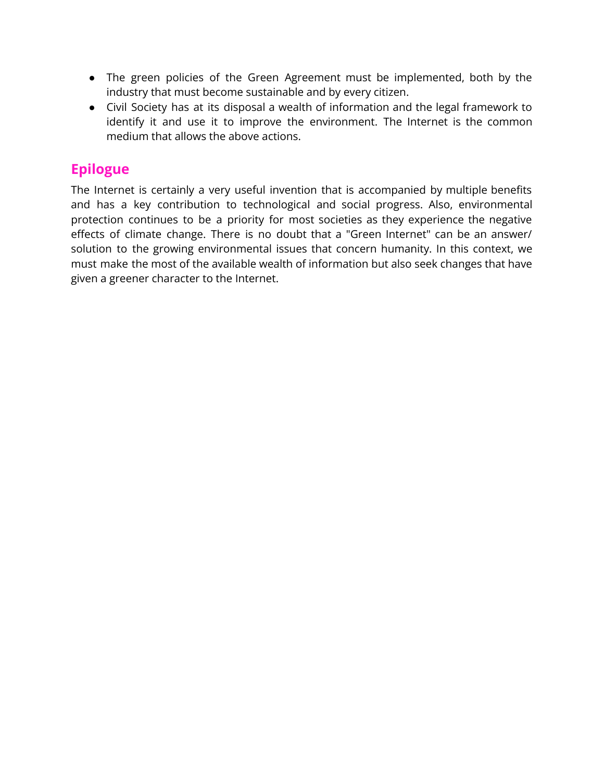- The green policies of the Green Agreement must be implemented, both by the industry that must become sustainable and by every citizen.
- Civil Society has at its disposal a wealth of information and the legal framework to identify it and use it to improve the environment. The Internet is the common medium that allows the above actions.

## **Epilogue**

The Internet is certainly a very useful invention that is accompanied by multiple benefits and has a key contribution to technological and social progress. Also, environmental protection continues to be a priority for most societies as they experience the negative effects of climate change. There is no doubt that a "Green Internet" can be an answer/ solution to the growing environmental issues that concern humanity. In this context, we must make the most of the available wealth of information but also seek changes that have given a greener character to the Internet.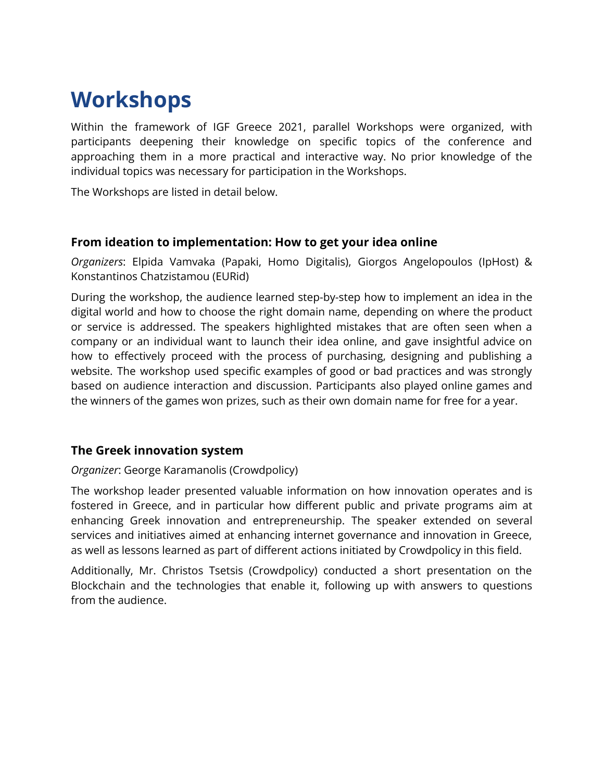# **Workshops**

Within the framework of IGF Greece 2021, parallel Workshops were organized, with participants deepening their knowledge on specific topics of the conference and approaching them in a more practical and interactive way. No prior knowledge of the individual topics was necessary for participation in the Workshops.

The Workshops are listed in detail below.

#### **From ideation to implementation: How to get your idea online**

*Organizers*: Elpida Vamvaka (Papaki, Homo Digitalis), Giorgos Angelopoulos (IpHost) & Konstantinos Chatzistamou (EURid)

During the workshop, the audience learned step-by-step how to implement an idea in the digital world and how to choose the right domain name, depending on where the product or service is addressed. The speakers highlighted mistakes that are often seen when a company or an individual want to launch their idea online, and gave insightful advice on how to effectively proceed with the process of purchasing, designing and publishing a website. The workshop used specific examples of good or bad practices and was strongly based on audience interaction and discussion. Participants also played online games and the winners of the games won prizes, such as their own domain name for free for a year.

#### **The Greek innovation system**

#### *Organizer*: George Karamanolis (Crowdpolicy)

The workshop leader presented valuable information on how innovation operates and is fostered in Greece, and in particular how different public and private programs aim at enhancing Greek innovation and entrepreneurship. The speaker extended on several services and initiatives aimed at enhancing internet governance and innovation in Greece, as well as lessons learned as part of different actions initiated by Crowdpolicy in this field.

Additionally, Mr. Christos Tsetsis (Crowdpolicy) conducted a short presentation on the Blockchain and the technologies that enable it, following up with answers to questions from the audience.